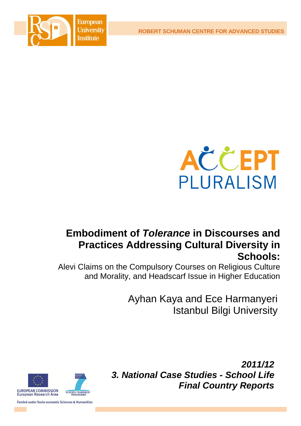**European University Institute** 

**ROBERT SCHUMAN CENTRE FOR ADVANCED STUDIES**





# **Embodiment of** *Tolerance* **in Discourses and Practices Addressing Cultural Diversity in Schools:**

Alevi Claims on the Compulsory Courses on Religious Culture and Morality, and Headscarf Issue in Higher Education

> Ayhan Kaya and Ece Harmanyeri Istanbul Bilgi University



*2011/12 3. National Case Studies - School Life Final Country Reports*

**Funded under Socio-economic Sciences & Humanities**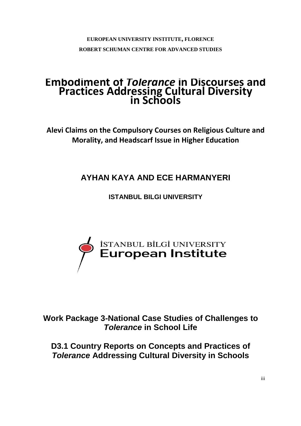# **EUROPEAN UNIVERSITY INSTITUTE, FLORENCE ROBERT SCHUMAN CENTRE FOR ADVANCED STUDIES**

# **Embodiment of** *Tolerance* **in Discourses and Practices Addressing Cultural Diversity in Schools**

**Alevi Claims on the Compulsory Courses on Religious Culture and Morality, and Headscarf Issue in Higher Education**

**AYHAN KAYA AND ECE HARMANYERI**

**ISTANBUL BILGI UNIVERSITY**



**Work Package 3-National Case Studies of Challenges to**  *Tolerance* **in School Life**

**D3.1 Country Reports on Concepts and Practices of**  *Tolerance* **Addressing Cultural Diversity in Schools**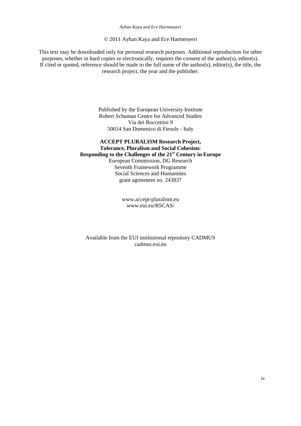© 2011 Ayhan Kaya and Ece Harmenyeri

This text may be downloaded only for personal research purposes. Additional reproduction for other purposes, whether in hard copies or electronically, requires the consent of the author(s), editor(s). If cited or quoted, reference should be made to the full name of the author(s), editor(s), the title, the research project, the year and the publisher.

> Published by the European University Institute Robert Schuman Centre for Advanced Studies Via dei Roccettini 9 50014 San Domenico di Fiesole - Italy

#### **ACCEPT PLURALISM Research Project, Tolerance, Pluralism and Social Cohesion: Responding to the Challenges of the 21st Century in Europe**  European Commission, DG Research Seventh Framework Programme Social Sciences and Humanities grant agreement no. 243837

[www.accept-pluralism.eu](http://www.accept-pluralism.eu/) [www.eui.eu/RSCAS/](http://www.eui.eu/RSCAS/)

Available from the EUI institutional repository CADMUS cadmus.eui.eu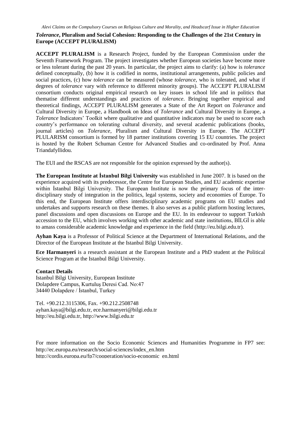#### *Tolerance***, Pluralism and Social Cohesion: Responding to the Challenges of the 21st Century in Europe (ACCEPT PLURALISM)**

**ACCEPT PLURALISM** is a Research Project, funded by the European Commission under the Seventh Framework Program. The project investigates whether European societies have become more or less tolerant during the past 20 years. In particular, the project aims to clarify: (a) how is *tolerance* defined conceptually, (b) how it is codified in norms, institutional arrangements, public policies and social practices, (c) how *tolerance* can be measured (whose *tolerance*, who is tolerated, and what if degrees of *tolerance* vary with reference to different minority groups). The ACCEPT PLURALISM consortium conducts original empirical research on key issues in school life and in politics that thematise different understandings and practices of *tolerance*. Bringing together empirical and theoretical findings, ACCEPT PLURALISM generates a State of the Art Report on *Tolerance* and Cultural Diversity in Europe, a Handbook on Ideas of *Tolerance* and Cultural Diversity in Europe, a *Tolerance* Indicators' Toolkit where qualitative and quantitative indicators may be used to score each country's performance on tolerating cultural diversity, and several academic publications (books, journal articles) on *Tolerance*, Pluralism and Cultural Diversity in Europe. The ACCEPT PLULARISM consortium is formed by 18 partner institutions covering 15 EU countries. The project is hosted by the Robert Schuman Centre for Advanced Studies and co-ordinated by Prof. Anna Triandafyllidou.

The EUI and the RSCAS are not responsible for the opinion expressed by the author(s).

**The European Institute at İstanbul Bilgi University** was established in June 2007. It is based on the experience acquired with its predecessor, the Centre for European Studies, and EU academic expertise within İstanbul Bilgi University. The European Institute is now the primary focus of the interdisciplinary study of integration in the politics, legal systems, society and economies of Europe. To this end, the European Institute offers interdisciplinary academic programs on EU studies and undertakes and supports research on these themes. It also serves as a public platform hosting lectures, panel discussions and open discussions on Europe and the EU. In its endeavour to support Turkish accession to the EU, which involves working with other academic and state institutions, BİLGİ is able to amass considerable academic knowledge and experience in the field [\(http://eu.bilgi.edu.tr\)](http://eu.bilgi.edu.tr/).

**Ayhan Kaya** is a Professor of Political Science at the Department of International Relations, and the Director of the European Institute at the Istanbul Bilgi University.

**Ece Harmanyeri** is a research assistant at the European Institute and a PhD student at the Political Science Program at the Istanbul Bilgi University.

#### **Contact Details**

Istanbul Bilgi University, European Institute Dolapdere Campus, Kurtuluş Deresi Cad. No:47 34440 Dolapdere / İstanbul, Turkey

Tel. +90.212.3115306, Fax. +90.212.2508748 [ayhan.kaya@bilgi.edu.tr,](mailto:ayhan.kaya@bilgi.edu.tr) ece.harmanyeri@bilgi.edu.tr [http://eu.bilgi.edu.tr,](http://eu.bilgi.edu.tr/) [http://www.bilgi.edu.tr](http://www.bilgi.edu.tr/)

For more information on the Socio Economic Sciences and Humanities Programme in FP7 see: [http://ec.europa.eu/research/social-sciences/index\\_en.htm](http://ec.europa.eu/research/social-sciences/index_en.htm) [http://cordis.europa.eu/fp7/cooperation/socio-economic\\_en.html](http://cordis.europa.eu/fp7/cooperation/socio-economic_en.html)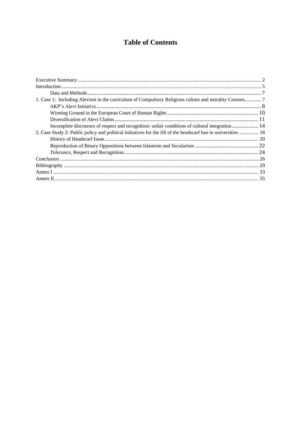# **Table of Contents**

| 1. Case 1: Including Alevism in the curriculum of Compulsory Religious culture and morality Courses 7          |  |
|----------------------------------------------------------------------------------------------------------------|--|
|                                                                                                                |  |
|                                                                                                                |  |
|                                                                                                                |  |
| Incomplete discourses of respect and recognition: unfair conditions of cultural integration 14                 |  |
| 2. Case Study 2: Public policy and political initiatives for the lift of the headscarf ban in universities  18 |  |
|                                                                                                                |  |
|                                                                                                                |  |
|                                                                                                                |  |
|                                                                                                                |  |
|                                                                                                                |  |
|                                                                                                                |  |
|                                                                                                                |  |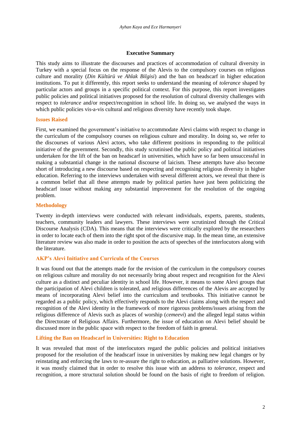#### **Executive Summary**

<span id="page-7-0"></span>This study aims to illustrate the discourses and practices of accommodation of cultural diversity in Turkey with a special focus on the response of the Alevis to the compulsory courses on religious culture and morality (*Din Kültürü ve Ahlak Bilgisi*) and the ban on headscarf in higher education institutions. To put it differently, this report seeks to understand the meaning of *tolerance* shaped by particular actors and groups in a specific political context. For this purpose, this report investigates public policies and political initiatives proposed for the resolution of cultural diversity challenges with respect to *tolerance* and/or respect/recognition in school life. In doing so, we analysed the ways in which public policies vis-a-vis cultural and religious diversity have recently took shape.

#### **Issues Raised**

First, we examined the government's initiative to accommodate Alevi claims with respect to change in the curriculum of the compulsory courses on religious culture and morality. In doing so, we refer to the discourses of various Alevi actors, who take different positions in responding to the political initiative of the government. Secondly, this study scrutinised the public policy and political initiatives undertaken for the lift of the ban on headscarf in universities, which have so far been unsuccessful in making a substantial change in the national discourse of laicism. These attempts have also become short of introducing a new discourse based on respecting and recognising religious diversity in higher education. Referring to the interviews undertaken with several different actors, we reveal that there is a common belief that all these attempts made by political parties have just been politicizing the headscarf issue without making any substantial improvement for the resolution of the ongoing problem.

#### **Methodology**

Twenty in-depth interviews were conducted with relevant individuals, experts, parents, students, teachers, community leaders and lawyers. These interviews were scrutinized through the Critical Discourse Analysis (CDA). This means that the interviews were critically explored by the researchers in order to locate each of them into the right spot of the discursive map. In the mean time, an extensive literature review was also made in order to position the acts of speeches of the interlocutors along with the literature.

#### **AKP's Alevi Initiative and Curricula of the Courses**

It was found out that the attempts made for the revision of the curriculum in the compulsory courses on religious culture and morality do not necessarily bring about respect and recognition for the Alevi culture as a distinct and peculiar identity in school life. However, it means to some Alevi groups that the participation of Alevi children is tolerated, and religious differences of the Alevis are accepted by means of incorporating Alevi belief into the curriculum and textbooks. This initiative cannot be regarded as a public policy, which effectively responds to the Alevi claims along with the respect and recognition of the Alevi identity in the framework of more rigorous problems/issues arising from the religious difference of Alevis such as places of worship (*cemeevi*) and the alleged legal status within the Directorate of Religious Affairs. Furthermore, the issue of education on Alevi belief should be discussed more in the public space with respect to the freedom of faith in general.

#### **Lifting the Ban on Headscarf in Universities: Right to Education**

It was revealed that most of the interlocutors regard the public policies and political initiatives proposed for the resolution of the headscarf issue in universities by making new legal changes or by reinstating and enforcing the laws to re-assure the right to education, as palliative solutions. However, it was mostly claimed that in order to resolve this issue with an address to *tolerance*, respect and recognition, a more structural solution should be found on the basis of right to freedom of religion.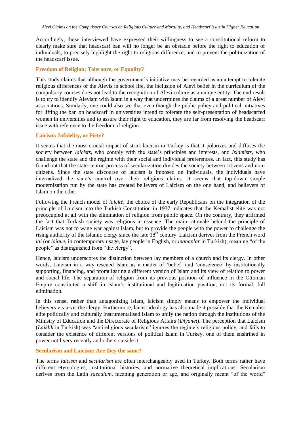Accordingly, those interviewed have expressed their willingness to see a constitutional reform to clearly make sure that headscarf ban will no longer be an obstacle before the right to education of individuals, to precisely highlight the right to religious difference, and to prevent the politicization of the headscarf issue.

#### **Freedom of Religion: Tolerance, or Equality?**

This study claims that although the government's initiative may be regarded as an attempt to tolerate religious differences of the Alevis in school life, the inclusion of Alevi belief in the curriculum of the compulsory courses does not lead to the recognition of Alevi culture as a unique entity. The end result is to try to identify Alevism with Islam in a way that undermines the claims of a great number of Alevi associations. Similarly, one could also see that even though the public policy and political initiatives for lifting the ban on headscarf in universities intend to tolerate the self-presentation of headscarfed women in universities and to assure their right to education, they are far from resolving the headscarf issue with reference to the freedom of religion.

#### **Laicism: Infidelity, or Piety?**

It seems that the most crucial impact of strict laicism in Turkey is that it polarizes and diffuses the society between *laicists*, who comply with the state's principles and interests, and *Islamists*, who challenge the state and the regime with their social and individual preferences. In fact, this study has found out that the state-centric process of secularization divides the society between citizens and noncitizens. Since the state discourse of laicism is imposed on individuals, the individuals have internalized the state's control over their religious claims. It seems that top-down simple modernization run by the state has created believers of Laicism on the one hand, and believers of Islam on the other.

Following the French model of *laicité*, the choice of the early Republicans on the integration of the principle of Laicism into the Turkish Constitution in 1937 indicates that the Kemalist elite was not preoccupied at all with the elimination of religion from public space. On the contrary, they affirmed the fact that Turkish society was religious in essence. The main rationale behind the principle of Laicism was not to wage war against Islam, but to provide the people with the power to challenge the rising authority of the Islamic clergy since the late  $18<sup>th</sup>$  century. Laicism derives from the French word *lai* (or *laique*, in contemporary usage, lay people in English, or *inananlar* in Turkish), meaning "of the people" as distinguished from "the clergy".

Hence, laicism underscores the distinction between lay members of a church and its clergy. In other words, Laicism in a way rescued Islam as a matter of 'belief' and 'conscience' by institutionally supporting, financing, and promulgating a different version of Islam and its view of relation to power and social life. The separation of religion from its previous position of influence in the Ottoman Empire constituted a shift in Islam's institutional and legitimation position, not its formal, full elimination.

In this sense, rather than antagonizing Islam, laicism simply means to empower the individual believers vis-a-vis the clergy. Furthermore, laicist ideology has also made it possible that the Kemalist elite politically and culturally instrumentalised Islam to unify the nation through the institutions of the Ministry of Education and the Directorate of Religious Affairs (*Diyanet*). The perception that Laicism (*Laiklik* in Turkish) was "antireligious secularism" ignores the regime's religious policy, and fails to consider the existence of different versions of political Islam in Turkey, one of them enshrined in power until very recently and others outside it.

#### **Secularism and Laicism: Are they the same?**

The terms *laicism* and *secularism* are often interchangeably used in Turkey. Both terms rather have different etymologies, institutional histories, and normative theoretical implications. Secularism derives from the Latin *saeculum*, meaning generation or age, and originally meant "of the world"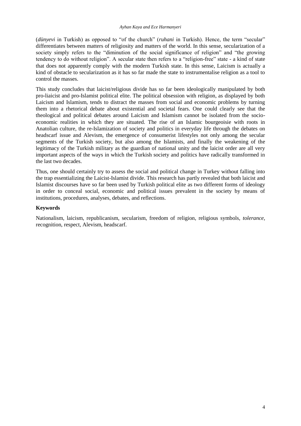(*dünyevi* in Turkish) as opposed to "of the church" (*ruhani* in Turkish). Hence, the term "secular" differentiates between matters of religiosity and matters of the world. In this sense, secularization of a society simply refers to the "diminution of the social significance of religion" and "the growing tendency to do without religion". A secular state then refers to a "religion-free" state - a kind of state that does not apparently comply with the modern Turkish state. In this sense, Laicism is actually a kind of obstacle to secularization as it has so far made the state to instrumentalise religion as a tool to control the masses.

This study concludes that laicist/religious divide has so far been ideologically manipulated by both pro-liaicist and pro-Islamist political elite. The political obsession with religion, as displayed by both Laicism and Islamism, tends to distract the masses from social and economic problems by turning them into a rhetorical debate about existential and societal fears. One could clearly see that the theological and political debates around Laicism and Islamism cannot be isolated from the socioeconomic realities in which they are situated. The rise of an Islamic bourgeoisie with roots in Anatolian culture, the re-Islamization of society and politics in everyday life through the debates on headscarf issue and Alevism, the emergence of consumerist lifestyles not only among the secular segments of the Turkish society, but also among the Islamists, and finally the weakening of the legitimacy of the Turkish military as the guardian of national unity and the laicist order are all very important aspects of the ways in which the Turkish society and politics have radically transformed in the last two decades.

Thus, one should certainly try to assess the social and political change in Turkey without falling into the trap essentializing the Laicist-Islamist divide. This research has partly revealed that both laicist and Islamist discourses have so far been used by Turkish political elite as two different forms of ideology in order to conceal social, economic and political issues prevalent in the society by means of institutions, procedures, analyses, debates, and reflections.

#### **Keywords**

Nationalism, laicism, republicanism, secularism, freedom of religion, religious symbols, *tolerance*, recognition, respect, Alevism, headscarf.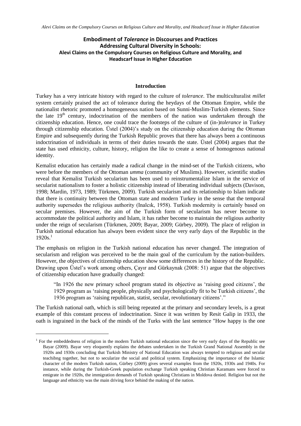#### **Embodiment of** *Tolerance* **in Discourses and Practices Addressing Cultural Diversity in Schools: Alevi Claims on the Compulsory Courses on Religious Culture and Morality, and Headscarf Issue in Higher Education**

#### **Introduction**

<span id="page-10-0"></span>Turkey has a very intricate history with regard to the culture of *tolerance*. The multiculturalist *millet* system certainly praised the act of tolerance during the heydays of the Ottoman Empire, while the nationalist rhetoric promoted a homogeneous nation based on Sunni-Muslim-Turkish elements. Since the late  $19<sup>th</sup>$  century, indoctrination of the members of the nation was undertaken through the citizenship education. Hence, one could trace the footsteps of the culture of (in-)*tolerance* in Turkey through citizenship education. Üstel (2004)'s study on the citizenship education during the Ottoman Empire and subsequently during the Turkish Republic proves that there has always been a continuous indoctrination of individuals in terms of their duties towards the state. Üstel (2004) argues that the state has used ethnicity, culture, history, religion the like to create a sense of homogenous national identity.

Kemalist education has certainly made a radical change in the mind-set of the Turkish citizens, who were before the members of the Ottoman *umma* (community of Muslims). However, scientific studies reveal that Kemalist Turkish secularism has been used to reinstrumentalize Islam in the service of secularist nationalism to foster a holistic citizenship instead of liberating individual subjects (Davison, 1998; Mardin, 1973, 1989; Türkmen, 2009). Turkish secularism and its relationship to Islam indicate that there is continuity between the Ottoman state and modern Turkey in the sense that the temporal authority supersedes the religious authority (Inalcık, 1958). Turkish modernity is certainly based on secular premises. However, the aim of the Turkish form of secularism has never become to accommodate the political authority and Islam, it has rather become to maintain the religious authority under the reign of secularism (Türkmen, 2009; Bayar, 2009; Gürbey, 2009). The place of religion in Turkish national education has always been evident since the very early days of the Republic in the  $1920s.<sup>1</sup>$ 

The emphasis on religion in the Turkish national education has never changed. The integration of secularism and religion was perceived to be the main goal of the curriculum by the nation-builders. However, the objectives of citizenship education show some differences in the history of the Republic. Drawing upon Üstel's work among others, Çayır and Gürkaynak (2008: 51) argue that the objectives of citizenship education have gradually changed:

"In 1926 the new primary school program stated its objective as 'raising good citizens', the 1929 program as 'raising people, physically and psychologically fit to be Turkish citizens', the 1936 program as 'raising republican, statist, secular, revolutionary citizens'."

The Turkish national oath, which is still being repeated at the primary and secondary levels, is a great example of this constant process of indoctrination. Since it was written by Resit Galip in 1933, the oath is ingrained in the back of the minds of the Turks with the last sentence "How happy is the one

l

<sup>&</sup>lt;sup>1</sup> For the embeddedness of religion in the modern Turkish national education since the very early days of the Republic see Bayar (2009). Bayar very eloquently explains the debates undertaken in the Turkish Grand National Assembly in the 1920s and 1930s concluding that Turkish Ministry of National Education was always tempted to religious and secular teachibng together, but not to secularize the social and political system. Emphasizing the importance of the Islamic character of the modern Turkish nation, Gürbey (2009) gives several examples from the 1920s, 1930s and 1940s. For instance, while during the Turkish-Greek pupulation exchange Turkish speaking Christian Karamans were forced to emigrate in the 1920s, the immigration demands of Turkish speaking Christians in Moldova denied. Religion but not the language and ethnicity was the main driving force behind the making of the nation.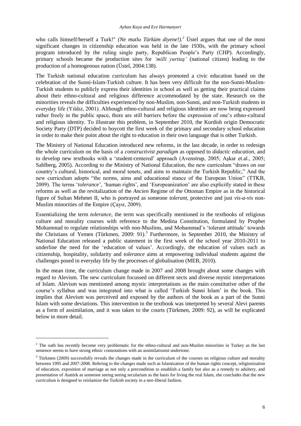who calls himself/herself a Turk!" *(Ne mutlu Türküm diyene!).<sup>2</sup>* Üstel argues that one of the most significant changes in citizenship education was held in the late 1930s, with the primary school program introduced by the ruling single party, Republican People's Party (CHP). Accordingly, primary schools became the production sites for *'milli yurttaş'* (national citizen) leading to the production of a homogenous nation (Üstel, 2004:138).

The Turkish national education curriculum has always promoted a civic education based on the celebration of the Sunni-Islam-Turkish culture. It has been very difficult for the non-Sunni-Muslim-Turkish students to publicly express their identities in school as well as getting their practical claims about their ethno-cultural and religious difference accommodated by the state. Research on the minorities reveals the difficulties experienced by non-Muslim, non-Sunni, and non-Turkish students in everyday life (Yıldız, 2001). Although ethno-cultural and religious identities are now being expressed rather freely in the public space, there are still barriers before the expression of one's ethno-cultural and religious identity. To illustrate this problem, in September 2010, the Kurdish origin Democratic Society Party (DTP) decided to boycott the first week of the primary and secondary school education in order to make their point about the right to education in their own language that is other Turkish.

The Ministry of National Education introduced new reforms, in the last decade, in order to redesign the whole curriculum on the basis of a *constructivist paradigm* as opposed to *didactic education,* and to develop new textbooks with a 'student-centered' approach (Avenstrup, 2005; Aşkar et.al., 2005; Sahlberg, 2005). According to the Ministry of National Education, the new curriculum "draws on our country's cultural, historical, and moral tenets, and aims to maintain the Turkish Republic," And the new curriculum adopts "the norms, aims and educational stance of the European Union" (TTKB, 2009). The terms '*tolerance*', 'human rights', and 'Europeanization' are also explicitly stated in these reforms as well as the revitalization of the *Ancien* Regime of the Ottoman Empire as in the historical figure of Sultan Mehmet II, who is portrayed as someone *tolerant*, protective and just *vis-a-vis* non-Muslim minorities of the Empire (Çayır, 2009).

Essentializing the term *tolerance*, the term was specifically mentioned in the textbooks of religious culture and morality courses with reference to the Medina Constitution, formulated by Prophet Mohammad to regulate relationships with non-Muslims, and Mohammad's 'tolerant attitude' towards the Christians of Yemen (Türkmen, 2009: 91).<sup>3</sup> Furthermore, in September 2010, the Ministry of National Education released a public statement in the first week of the school year 2010-2011 to underline the need for the 'education of values'. Accordingly, the education of values such as citizenship, hospitality, solidarity and *tolerance* aims at empowering individual students against the challenges posed in everyday life by the processes of globalisation (MEB, 2010).

In the mean time, the curriculum change made in 2007 and 2008 brought about some changes with regard to Alevism. The new curriculum focussed on different sects and diverse mystic interpretations of Islam. Alevism was mentioned among mystic interpretations as the main constitutive other of the course's syllabus and was integrated into what is called 'Turkish Sunni Islam' in the book. This implies that Alevism was perceived and exposed by the authors of the book as a part of the Sunni Islam with some deviations. This intervention in the textbook was interpreted by several Alevi parents as a form of assimilation, and it was taken to the courts (Türkmen, 2009: 92), as will be explicated below in more detail.

<span id="page-11-0"></span>l

 $2$  The oath has recently become very problematic for the ethno-cultural and non-Muslim minorities in Turkey as the last sentence seems to have strong ethnic connotations with an assimilationist undertone.

 $3$  Türkmen (2009) successfully reveals the changes made in the curriculum of the courses on religious culture and morality between 1995 and 2007-2008. Refering to the changes made such as Islamization of the human rights concept, religionization of education, exposition of marriage as not only a precondition to establish a family but also as a remedy to adultery, and presentation of Atatürk as someone seeing seeing secularism as the basis for living the real Islam, she concludes that the new curriculum is designed to reislamize the Turkish society in a neo-liberal fashion.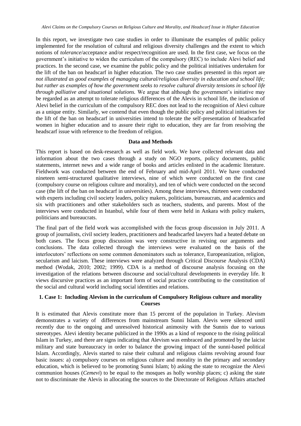In this report, we investigate two case studies in order to illuminate the examples of public policy implemented for the resolution of cultural and religious diversity challenges and the extent to which notions of *tolerance*/acceptance and/or respect/recognition are used. In the first case, we focus on the government's initiative to widen the curriculum of the compulsory (REC) to include Alevi belief and practices. In the second case, we examine the public policy and the political initiatives undertaken for the lift of the ban on headscarf in higher education. The two case studies presented in this report are *not illustrated as good examples of managing cultural/religious diversity in education and school life; but rather as examples of how the government seeks to resolve cultural diversity tensions in school life through palliative and situational solutions.* We argue that although the government's initiative may be regarded as an attempt to tolerate religious differences of the Alevis in school life, the inclusion of Alevi belief in the curriculum of the compulsory REC does not lead to the recognition of Alevi culture as a unique entity. Similarly, we contend that even though the public policy and political initiatives for the lift of the ban on headscarf in universities intend to tolerate the self-presentation of headscarfed women in higher education and to assure their right to education, they are far from resolving the headscarf issue with reference to the freedom of religion.

#### **Data and Methods**

This report is based on desk-research as well as field work. We have collected relevant data and information about the two cases through a study on NGO reports, policy documents, public statements, internet news and a wide range of books and articles enlisted in the academic literature. Fieldwork was conducted between the end of February and mid-April 2011. We have conducted nineteen semi-structured qualitative interviews, nine of which were conducted on the first case (compulsory course on religious culture and morality), and ten of which were conducted on the second case (the lift of the ban on headscarf in universities). Among these interviews, thirteen were conducted with experts including civil society leaders, policy makers, politicians, bureaucrats, and academics and six with practitioners and other stakeholders such as teachers, students, and parents. Most of the interviews were conducted in Istanbul, while four of them were held in Ankara with policy makers, politicians and bureaucrats.

The final part of the field work was accomplished with the focus group discussion in July 2011. A group of journalists, civil society leaders, practitioners and headscarfed lawyers had a heated debate on both cases. The focus group discussion was very constructive in revising our arguments and conclusions. The data collected through the interviews were evaluated on the basis of the interlocutors' reflections on some common denominators such as tolerance, Europeanization, religion, secularism and laicism. These interviews were analyzed through Critical Discourse Analysis (CDA) method (Wodak, 2010; 2002; 1999). CDA is a method of discourse analysis focusing on the investigation of the relations between discourse and social/cultural developments in everyday life. It views discursive practices as an important form of social practice contributing to the constitution of the social and cultural world including social identities and relations.

#### <span id="page-12-0"></span>**1. Case 1: Including Alevism in the curriculum of Compulsory Religious culture and morality Courses**

It is estimated that Alevis constitute more than 15 percent of the population in Turkey. Alevism demonstrates a variety of differences from mainstream Sunni Islam. Alevis were silenced until recently due to the ongoing and unresolved historical animosity with the Sunnis due to various stereotypes. Alevi identity became publicized in the 1990s as a kind of responce to the rising political Islam in Turkey, and there are signs indicating that Alevism was embraced and promoted by the laicist military and state bureaucracy in order to balance the growing impact of the sunni-based political Islam. Accordingly, Alevis started to raise their cultural and religious claims revolving around four basic issues: a) compulsory courses on religious culture and morality in the primary and secondary education, which is believed to be promoting Sunni Islam; b) asking the state to recognize the Alevi communion houses (*Cemevi*) to be equal to the mosques as holly worship places; c) asking the state not to discriminate the Alevis in allocating the sources to the Directorate of Religious Affairs attached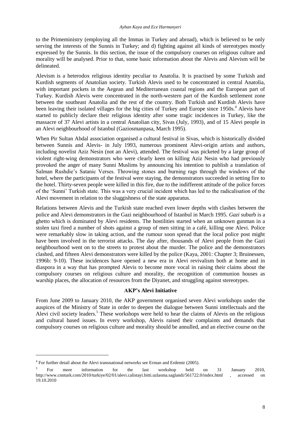to the Primeministry (employing all the Immas in Turkey and abroad), which is believed to be only serving the interests of the Sunnis in Turkey; and d) fighting against all kinds of stereotypes mostly expressed by the Sunnis. In this section, the issue of the compulsory courses on religious culture and morality will be analysed. Prior to that, some basic information about the Alevis and Alevism will be delineated.

Alevism is a heterodox religious identity peculiar to Anatolia. It is practised by some Turkish and Kurdish segments of Anatolian society. Turkish Alevis used to be concentrated in central Anatolia, with important pockets in the Aegean and Mediterranean coastal regions and the European part of Turkey. Kurdish Alevis were concentrated in the north-western part of the Kurdish settlement zone between the southeast Anatolia and the rest of the country. Both Turkish and Kurdish Alevis have been leaving their isolated villages for the big cities of Turkey and Europe since 1950s.<sup>4</sup> Alevis have started to publicly declare their religious identity after some tragic incidences in Turkey, like the massacre of 37 Alevi artists in a central Anatolian city, Sivas (July, 1993), and of 15 Alevi people in an Alevi neighbourhood of Istanbul (Gaziosmanpasa, March 1995).

When Pir Sultan Abdal association organised a cultural festival in Sivas, which is historically divided between Sunnis and Alevis- in July 1993, numerous prominent Alevi-origin artists and authors, including novelist Aziz Nesin (not an Alevi), attended. The festival was picketed by a large group of violent right-wing demonstrators who were clearly keen on killing Aziz Nesin who had previously provoked the anger of many Sunni Muslims by announcing his intention to publish a translation of Salman Rushdie's Satanic Verses. Throwing stones and burning rags through the windows of the hotel, where the participants of the festival were staying, the demonstrators succeeded in setting fire to the hotel. Thirty-seven people were killed in this fire, due to the indifferent attitude of the police forces of the 'Sunni' Turkish state. This was a very crucial incident which has led to the radicalisation of the Alevi movement in relation to the sluggishness of the state apparatus.

Relations between Alevis and the Turkish state reached even lower depths with clashes between the police and Alevi demonstrators in the Gazi neighbourhood of Istanbul in March 1995. *Gazi* suburb is a ghetto which is dominated by Alevi residents. The hostilities started when an unknown gunman in a stolen taxi fired a number of shots against a group of men sitting in a café, killing one Alevi. Police were remarkably slow in taking action, and the rumour soon spread that the local police post might have been involved in the terrorist attacks. The day after, thousands of Alevi people from the Gazi neighbourhood went on to the streets to protest about the murder. The police and the demonstrators clashed, and fifteen Alevi demonstrators were killed by the police (Kaya, 2001: Chapter 3; Bruinessen, 1996b: 9-10). These incidences have opened a new era in Alevi revivalism both at home and in diaspora in a way that has prompted Alevis to become more vocal in raising their claims about the compulsory courses on religious culture and morality, the recognition of communion houses as warship places, the allocation of resources from the Diyanet, and struggling against stereotypes.

#### **AKP's Alevi Initiative**

<span id="page-13-0"></span>From June 2009 to January 2010, the AKP government organised seven Alevi workshops under the auspices of the Ministry of State in order to deepen the dialogue between Sunni intellectuals and the Alevi civil society leaders.<sup>5</sup> These workshops were held to hear the claims of Alevis on the religious and cultural based issues. In every workshop, Alevis raised their complaints and demands that compulsory courses on religious culture and morality should be annulled, and an elective course on the

l

 $4$  For further detail about the Alevi transnational networks see Erman and Erdemir (2005).

<sup>5</sup> For more information for the last workshop held on 31 January 2010, <http://www.cnnturk.com/2010/turkiye/02/01/alevi.calistayi.bitti.uzlasma.saglandi/561722.0/index.html> , accessed on 19.10.2010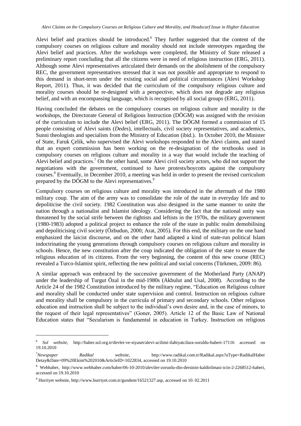Alevi belief and practices should be introduced.<sup>6</sup> They further suggested that the content of the compulsory courses on religious culture and morality should not include stereotypes regarding the Alevi belief and practices. After the workshops were completed, the Ministry of State released a preliminary report concluding that all the citizens were in need of religious instruction (ERG, 2011). Although some Alevi representatives articulated their demands on the abolishment of the compulsory REC, the government representatives stressed that it was not possible and appropriate to respond to this demand in short-term under the existing social and political circumstances (Alevi Workshop Report, 2011). Thus, it was decided that the curriculum of the compulsory religious culture and morality courses should be re-designed with a perspective, which does not degrade any religious belief, and with an encompassing language, which is recognised by all social groups (ERG, 2011).

Having concluded the debates on the compulsory courses on religious culture and morality in the workshops, the Directorate General of Religious Instruction (DÖGM) was assigned with the revision of the curriculum to include the Alevi belief (ERG, 2011). The DÖGM formed a commission of 15 people consisting of Alevi saints (*Dedes*), intellectuals, civil society representatives, and academics, Sunni theologists and specialists from the Ministry of Education (ibid.). In October 2010, the Minister of State, Faruk Çelik, who supervised the Alevi workshops responded to the Alevi claims, and stated that an expert commission has been working on the re-designation of the textbooks used in compulsory courses on religious culture and morality in a way that would include the teaching of Alevi belief and practices.<sup>7</sup> On the other hand, some Alevi civil society actors, who did not support the negotiations with the government, continued to have protests/boycotts against the compulsory courses.<sup>8</sup> Eventually, in December 2010, a meeting was held in order to present the revised curriculum prepared by the DÖGM to the Alevi representatives.<sup>9</sup>

Compulsory courses on religious culture and morality was introduced in the aftermath of the 1980 military coup. The aim of the army was to consolidate the role of the state in everyday life and to depoliticise the civil society. 1982 Constitution was also designed in the same manner to unite the nation through a nationalist and Islamist ideology. Considering the fact that the national unity was threatened by the social strife between the rightists and leftists in the 1970s, the military government (1980-1983) adopted a political project to enhance the role of the state in public realm demobilising and depoliticising civil society (Özbudun, 2000; Arat, 2005). For this end, the military on the one hand emphasized the laicist discourse, and on the other hand adapted a kind of state-run political Islam indoctrinating the young generations through compulsory courses on religious culture and morality in schools. Hence, the new constitution after the coup indicated the obligation of the state to ensure the religious education of its citizens. From the very beginning, the content of this new course (REC) revealed a Turco-Islamist spirit, reflecting the new political and social concerns (Türkmen, 2009: 86).

A similar approach was embraced by the successive government of the Motherland Party (ANAP) under the leadership of Turgut Özal in the mid-1980s (Akbulut and Usal, 2008). According to the Article 24 of the 1982 Constitution introduced by the military regime, "Education on Religious culture and morality shall be conducted under state supervision and control. Instruction on religious culture and morality shall be compulsory in the curricula of primary and secondary schools. Other religious education and instruction shall be subject to the individual's own desire and, in the case of minors, to the request of their legal representatives" (Goner, 2005). Article 12 of the Basic Law of National Education states that "Secularism is fundamental in education in Turkey. Instruction on religious

 $\overline{\phantom{a}}$ 

<sup>6</sup> *Sol website,* <http://haber.sol.org.tr/devlet-ve-siyaset/alevi-acilimi-ilahiyatcilara-soruldu-haberi-17116> accessed on 19.10.2010

<sup>&</sup>lt;sup>7</sup>Newspaper Radikal website, http://www.radikal.com.tr/Radikal.aspx?aType=RadikalHaber [Detay&Date=09%20Ekim%202010&ArticleID=1022834,](http://www.radikal.com.tr/Radikal.aspx?aType=RadikalHaber%20Detay&Date=09%20Ekim%202010&ArticleID=1022834) accessed on 19.10.2010

<sup>8</sup> Webhaber, [http://www.webhaber.com/haber/06-10-2010/aleviler-zorunlu-din-dersinin-kaldirilmasi-icin-2-2268512-haberi,](http://www.webhaber.com/haber/06-10-2010/aleviler-zorunlu-din-dersinin-kaldirilmasi-icin-2-2268512-haberi) accessed on 19.10.2010

 $9$  Hurriyet website, [http://www.hurriyet.com.tr/gundem/16521327.asp,](http://www.hurriyet.com.tr/gundem/16521327.asp) accessed on 10.02.2011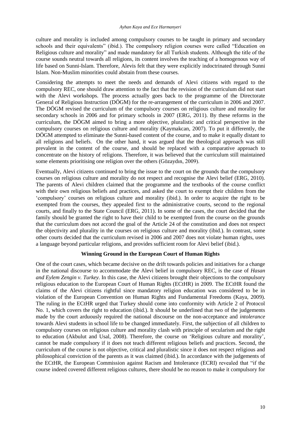culture and morality is included among compulsory courses to be taught in primary and secondary schools and their equivalents" (ibid.). The compulsory religion courses were called "Education on Religious culture and morality" and made mandatory for all Turkish students. Although the title of the course sounds neutral towards all religions, its content involves the teaching of a homogenous way of life based on Sunni-Islam. Therefore, Alevis felt that they were explicitly indoctrinated through Sunni Islam. Non-Muslim minorities could abstain from these courses.

Considering the attempts to meet the needs and demands of Alevi citizens with regard to the compulsory REC, one should draw attention to the fact that the revision of the curriculum did not start with the Alevi workshops. The process actually goes back to the programme of the Directorate General of Religious Instruction (DÖGM) for the re-arrangement of the curriculum in 2006 and 2007. The DÖGM revised the curriculum of the compulsory courses on religious culture and morality for secondary schools in 2006 and for primary schools in 2007 (ERG, 2011). By these reforms in the curriculum, the DÖGM aimed to bring a more objective, pluralistic and critical perspective in the compulsory courses on religious culture and morality (Kaymakcan, 2007). To put it differently, the DÖGM attempted to eliminate the Sunni-based content of the course, and to make it equally distant to all religions and beliefs. On the other hand, it was argued that the theological approach was still prevalent in the content of the course, and should be replaced with a comparative approach to concentrate on the history of religions. Therefore, it was believed that the curriculum still maintained some elements prioritising one religion over the others (Gözaydın, 2009).

Eventually, Alevi citizens continued to bring the issue to the court on the grounds that the compulsory courses on religious culture and morality do not respect and recognise the Alevi belief (ERG, 2010). The parents of Alevi children claimed that the programme and the textbooks of the course conflict with their own religious beliefs and practices, and asked the court to exempt their children from the 'compulsory' courses on religious culture and morality (ibid.). In order to acquire the right to be exempted from the courses, they appealed first to the administrative courts, second to the regional courts, and finally to the State Council (ERG, 2011). In some of the cases, the court decided that the family should be granted the right to have their child to be exempted from the course on the grounds that the curriculum does not accord the goal of the Article 24 of the constitution and does not respect the objectivity and plurality in the courses on religious culture and morality (ibid.). In contrast, some other courts decided that the curriculum revised in 2006 and 2007 does not violate human rights, uses a language beyond particular religions, and provides sufficient room for Alevi belief (ibid.).

#### **Winning Ground in the European Court of Human Rights**

<span id="page-15-0"></span>One of the court cases, which became decisive on the drift towards policies and initiatives for a change in the national discourse to accommodate the Alevi belief in compulsory REC, is the case of *Hasan and Eylem Zengin v. Turkey.* In this case, the Alevi citizens brought their objections to the compulsory religious education to the European Court of Human Rights (ECtHR) in 2009. The ECtHR found the claims of the Alevi citizens rightful since mandatory religion education was considered to be in violation of the European Convention on Human Rights and Fundamental Freedoms (Kaya, 2009). The ruling in the ECtHR urged that Turkey should come into conformity with Article 2 of Protocol No. 1, which covers the right to education (ibid.). It should be underlined that two of the judgements made by the court arduously required the national discourse on the non-acceptance and *intolerance* towards Alevi students in school life to be changed immediately. First, the subjection of all children to compulsory courses on religious culture and morality clash with principle of secularism and the right to education (Akbulut and Usal, 2008). Therefore, the course on 'Religious culture and morality', cannot be made compulsory if it does not teach different religious beliefs and practices. Second, the curriculum of the course is not objective, critical and pluralistic since it does not respect religious and philosophical conviction of the parents as it was claimed (ibid.). In accordance with the judgements of the ECtHR, the European Commission against Racism and Intolerance (ECRI) revealed that "if the course indeed covered different religious cultures, there should be no reason to make it compulsory for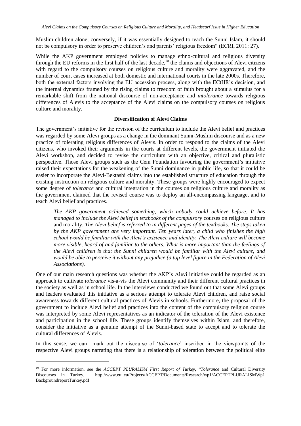Muslim children alone; conversely, if it was essentially designed to teach the Sunni Islam, it should not be compulsory in order to preserve children's and parents' religious freedom" (ECRI, 2011: 27).

While the AKP government employed policies to manage ethno-cultural and religious diversity through the EU reforms in the first half of the last decade, $10$  the claims and objections of Alevi citizens with regard to the compulsory courses on religious culture and morality were aggravated, and the number of court cases increased at both domestic and international courts in the late 2000s. Therefore, both the external factors involving the EU accession process, along with the ECtHR's decision, and the internal dynamics framed by the rising claims to freedom of faith brought about a stimulus for a remarkable shift from the national discourse of non-acceptance and *intolerance* towards religious differences of Alevis to the acceptance of the Alevi claims on the compulsory courses on religious culture and morality.

#### **Diversification of Alevi Claims**

<span id="page-16-0"></span>The government's initiative for the revision of the curriculum to include the Alevi belief and practices was regarded by some Alevi groups as a change in the dominant Sunni-Muslim discourse and as a new practice of tolerating religious differences of Alevis. In order to respond to the claims of the Alevi citizens, who invoked their arguments in the courts at different levels, the government initiated the Alevi workshop, and decided to revise the curriculum with an objective, critical and pluralistic perspective. Those Alevi groups such as the Cem Foundation favouring the government's initiative raised their expectations for the weakening of the Sunni dominance in public life, so that it could be easier to incorporate the Alevi-Bektashi claims into the established structure of education through the existing instruction on religious culture and morality. These groups were highly encouraged to expect some degree of *tolerance* and cultural integration in the courses on religious culture and morality as the government claimed that the revised course was to deploy an all-encompassing language, and to teach Alevi belief and practices.

*The AKP government achieved something, which nobody could achieve before. It has managed to include the Alevi belief in textbooks of the compulsory* courses on religious culture and morality. *The Alevi belief is referred to in different pages of the textbooks. The steps taken by the AKP government are very important. Ten years later, a child who finishes the high school would be familiar with the Alevi's existence and identity. The Alevi culture will become more visible, heard of and familiar to the others. What is more important than the feelings of the Alevi children is that the Sunni children would be familiar with the Alevi culture, and would be able to perceive it without any prejudice (a top level figure in the Federation of Alevi Associations).*

One of our main research questions was whether the AKP's Alevi initiative could be regarded as an approach to cultivate *tolerance* vis-a-vis the Alevi community and their different cultural practices in the society as well as in school life. In the interviews conducted we found out that some Alevi groups and leaders evaluated this initiative as a serious attempt to tolerate Alevi children, and raise social awareness towards different cultural practices of Alevis in schools. Furthermore, the proposal of the government to include Alevi belief and practices into the content of the compulsory religion course was interpreted by some Alevi representatives as an indicator of the toleration of the Alevi existence and participation in the school life. These groups identify themselves within Islam, and therefore, consider the initiative as a genuine attempt of the Sunni-based state to accept and to tolerate the cultural differences of Alevis.

In this sense, we can mark out the discourse of '*tolerance*' inscribed in the viewpoints of the respective Alevi groups narrating that there is a relationship of toleration between the political elite

 $\overline{\phantom{a}}$ 

<sup>&</sup>lt;sup>10</sup> For more information, see the *ACCEPT PLURALISM First Report of Turkey*, "Tolerance and Cultural Diversity Discourses in Turkey, <http://www.eui.eu/Projects/ACCEPT/Documents/Research/wp1/ACCEPTPLURALISMWp1> BackgroundreportTurkey.pdf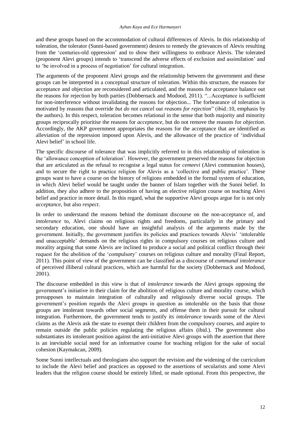and these groups based on the accommodation of cultural differences of Alevis. In this relationship of toleration, the tolerator (Sunni-based government) desires to remedy the grievances of Alevis resulting from the 'centuries-old oppression' and to show their willingness to embrace Alevis. The tolerated (proponent Alevi groups) intends to 'transcend the adverse effects of exclusion and assimilation' and to 'be involved in a process of negotiation' for cultural integration.

The arguments of the proponent Alevi groups and the relationship between the government and these groups can be interpreted in a conceptual structure of toleration. Within this structure, the reasons for acceptance and objection are reconsidered and articulated, and the reasons for acceptance balance out the reasons for rejection by both parties (Dobbernack and Modood, 2011). "...Acceptance is sufficient for non-interference without invalidating the reasons for objection... The forbearance of toleration is motivated by reasons that override *but do not cancel out reasons for rejection*" (ibid.:10, emphasis by the authors). In this respect, toleration becomes relational in the sense that both majority and minority groups reciprocally prioritise the reasons for *acceptance*, but do not remove the reasons for *objection*. Accordingly, the AKP government appropriates the reasons for the acceptance that are identified as alleviation of the repression imposed upon Alevis, and the allowance of the practice of 'individual Alevi belief' in school life.

The specific discourse of tolerance that was implicitly referred to in this relationship of toleration is the 'allowance conception of toleration'. However, the government preserved the reasons for objection that are articulated as the refusal to recognise a legal status for *cemeevi* (Alevi communion houses), and to secure the right to practice religion for Alevis as a 'collective and public practice'. These groups want to have a course on the history of religions embedded in the formal system of education, in which Alevi belief would be taught under the banner of Islam together with the Sunni belief. In addition, they also adhere to the proposition of having an elective religion course on teaching Alevi belief and practice in more detail. In this regard, what the supportive Alevi groups argue for is not only *acceptance*, but also *respect*.

In order to understand the reasons behind the dominant discourse on the non-acceptance of, and *intolerance* to, Alevi claims on religious rights and freedoms, particularly in the primary and secondary education, one should have an insightful analysis of the arguments made by the government. Initially, the government justifies its policies and practices towards Alevis' 'intolerable and unacceptable' demands on the religious rights in compulsory courses on religious culture and morality arguing that some Alevis are inclined to produce a social and political conflict through their request for the abolition of the 'compulsory' courses on religious culture and morality (Final Report, 2011). This point of view of the government can be classified as a discourse of *communal intolerance* of perceived illiberal cultural practices, which are harmful for the society (Dobbernack and Modood, 2001).

The discourse embedded in this view is that of *intolerance* towards the Alevi groups opposing the government's initiative in their claim for the abolition of religious culture and morality course, which presupposes to maintain integration of culturally and religiously diverse social groups. The government's position regards the Alevi groups in question as intolerable on the basis that those groups are intolerant towards other social segments, and offense them in their pursuit for cultural integration. Furthermore, the government tends to justify its *intolerance* towards some of the Alevi claims as the Alevis ask the state to exempt their children from the compulsory courses, and aspire to remain outside the public policies regulating the religious affairs (ibid.). The government also substantiates its intolerant position against the anti-initiative Alevi groups with the assertion that there is an inevitable social need for an informative course for teaching religion for the sake of social cohesion (Kaymakcan, 2009).

Some Sunni intellectuals and theologians also support the revision and the widening of the curriculum to include the Alevi belief and practices as opposed to the assertions of secularists and some Alevi leaders that the religion course should be entirely lifted, or made optional. From this perspective, the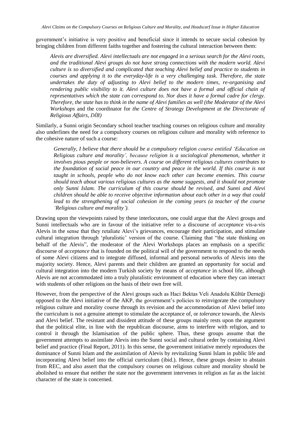government's initiative is very positive and beneficial since it intends to secure social cohesion by bringing children from different faiths together and fostering the cultural interaction between them:

*Alevis are diversified. Alevi intellectuals are not engaged in a serious search for the Alevi roots, and the traditional Alevi groups do not have strong connections with the modern world. Alevi culture is so diversified and complicated that teaching Alevi belief and practice to students in courses and applying it to the everyday-life is a very challenging task. Therefore, the state undertakes the duty of adjusting to Alevi belief to the modern times, re-organising and rendering public visibility to it. Alevi culture does not have a formal and official chain of representatives which the state can correspond to. Nor does it have a formal cadre for clergy. Therefore, the state has to think in the name of Alevi families as well (the Moderator of the Alevi Workshops* and the coordinator for *the Centre of Strategy Development at the Directorate of Religious Affairs, DİB)*

Similarly, a Sunni origin Secondary school teacher teaching courses on religious culture and morality also underlines the need for a compulsory courses on religious culture and morality with reference to the cohesive nature of such a course:

*Generally, I believe that there should be a compulsory religion course entitled 'Education on Religious culture and morality', because religion is a sociological phenomenon, whether it involves pious people or non-believers. A course on different religious cultures contributes to the foundation of social peace in our country and peace in the world. If this course is not taught in schools, people who do not know each other can become enemies. This course should teach about various religious cultures as the name suggests, and it should not promote only Sunni Islam. The curriculum of this course should be revised, and Sunni and Alevi children should be able to receive objective information about each other in a way that could lead to the strengthening of social cohesion in the coming years (a teacher of the course 'Religious culture and morality').* 

Drawing upon the viewpoints raised by these interlocutors, one could argue that the Alevi groups and Sunni intellectuals who are in favour of the initiative refer to a discourse of *acceptance* vis-a-vis Alevis in the sense that they retaliate Alevi's grievances, encourage their participation, and stimulate cultural integration through 'pluralistic' version of the course. Claiming that "the state thinking on behalf of the Alevis", the moderator of the Alevi Workshops places an emphasis on a specific discourse of *acceptance* that is founded on the political will of the government to respond to the needs of some Alevi citizens and to integrate diffused, informal and personal networks of Alevis into the majority society. Hence, Alevi parents and their children are granted an opportunity for social and cultural integration into the modern Turkish society by means of *acceptance* in school life, although Alevis are not accommodated into a truly pluralistic environment of education where they can interact with students of other religions on the basis of their own free will.

However, from the perspective of the Alevi groups such as Haci Bektas Veli Anadolu Kültür Derneği opposed to the Alevi initiative of the AKP, the government's policies to reinvigorate the compulsory religious culture and morality course through its revision and the accommodation of Alevi belief into the curriculum is not a genuine attempt to stimulate the acceptance of, or *tolerance* towards, the Alevis and Alevi belief. The resistant and dissident attitude of these groups mainly rests upon the argument that the political elite, in line with the republican discourse, aims to interfere with religion, and to control it through the Islamisation of the public sphere. Thus, these groups assume that the government attempts to assimilate Alevis into the Sunni social and cultural order by containing Alevi belief and practice (Final Report, 2011). In this sense, the government initiative merely reproduces the dominance of Sunni Islam and the assimilation of Alevis by revitalizing Sunni Islam in public life and incorporating Alevi belief into the official curriculum (ibid.). Hence, these groups desire to abstain from REC, and also assert that the compulsory courses on religious culture and morality should be abolished to ensure that neither the state nor the government intervenes in religion as far as the laicist character of the state is concerned.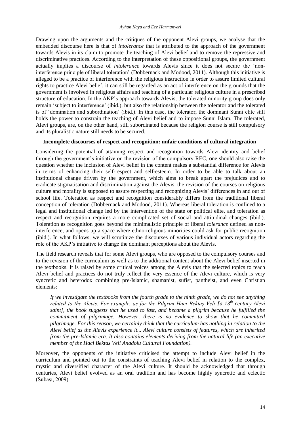Drawing upon the arguments and the critiques of the opponent Alevi groups, we analyse that the embedded discourse here is that of *intolerance* that is attributed to the approach of the government towards Alevis in its claim to promote the teaching of Alevi belief and to remove the repressive and discriminative practices. According to the interpretation of these oppositional groups, the government actually implies a discourse of *intolerance* towards Alevis since it does not secure the 'noninterference principle of liberal toleration' (Dobbernack and Modood, 2011). Although this initiative is alleged to be a practice of interference with the religious instruction in order to assure limited cultural rights to practice Alevi belief, it can still be regarded as an act of interference on the grounds that the government is involved in religious affairs and teaching of a particular religious culture in a prescribed structure of education. In the AKP's approach towards Alevis, the tolerated minority group does only remain 'subject to interference' (ibid.), but also the relationship between the tolerator and the tolerated is of 'domination and subordination' (ibid.). In this case, the tolerator, the dominant Sunni elite still holds the power to constrain the teaching of Alevi belief and to impose Sunni Islam. The tolerated, Alevi groups, are, on the other hand, still subordinated because the religion course is still compulsory and its pluralistic nature still needs to be secured.

#### <span id="page-19-0"></span>**Incomplete discourses of respect and recognition: unfair conditions of cultural integration**

Considering the potential of attaining respect and recognition towards Alevi identity and belief through the government's initiative on the revision of the compulsory REC, one should also raise the question whether the inclusion of Alevi belief in the content makes a substantial difference for Alevis in terms of enhancing their self-respect and self-esteem. In order to be able to talk about an institutional change driven by the government, which aims to break apart the prejudices and to eradicate stigmatisation and discrimination against the Alevis, the revision of the courses on religious culture and morality is supposed to assure respecting and recognizing Alevis' differences in and out of school life. Toleration as respect and recognition considerably differs from the traditional liberal conception of toleration (Dobbernack and Modood, 2011). Whereas liberal toleration is confined to a legal and institutional change led by the intervention of the state or political elite, and toleration as respect and recognition requires a more complicated set of social and attitudinal changes (ibid.). Toleration as recognition goes beyond the minimalistic principle of liberal *tolerance* defined as noninterference, and opens up a space where ethno-religious minorities could ask for public recognition (ibid.). In what follows, we will scrutinize the discourses of various individual actors regarding the role of the AKP's initiative to change the dominant perceptions about the Alevis.

The field research reveals that for some Alevi groups, who are opposed to the compulsory courses and to the revision of the curriculum as well as to the additional content about the Alevi belief inserted in the textbooks. It is raised by some critical voices among the Alevis that the selected topics to teach Alevi belief and practices do not truly reflect the very essence of the Alevi culture, which is very syncretic and heterodox combining pre-Islamic, shamanist, sufist, pantheist, and even Christian elements:

*If we investigate the textbooks from the fourth grade to the ninth grade, we do not see anything related to the Alevis. For example, as for the Pilgrim Haci Bektaş Veli [a 13th century Alevi*  saint], the book suggests that he used to fast, and became a pilgrim because he fulfilled the *commitment of pilgrimage. However, there is no evidence to show that he committed pilgrimage. For this reason, we certainly think that the curriculum has nothing in relation to the Alevi belief as the Alevis experience it... Alevi culture consists of features, which are inherited from the pre-Islamic era. It also contains elements deriving from the natural life (an executive member of the Haci Bektas Veli Anadolu Cultural Foundation).*

Moreover, the opponents of the initiative criticised the attempt to include Alevi belief in the curriculum and pointed out to the constraints of teaching Alevi belief in relation to the complex, mystic and diversified character of the Alevi culture. It should be acknowledged that through centuries, Alevi belief evolved as an oral tradition and has become highly syncretic and eclectic (Subaşı, 2009).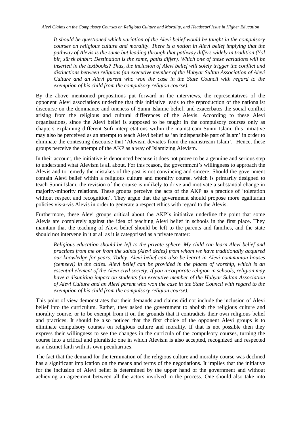*It should be questioned which variation of the Alevi belief would be taught in the compulsory courses on religious culture and morality. There is a notion in Alevi belief implying that the pathway of Alevis is the same but leading through that pathway differs widely in tradition (Yol bir, sürek binbir: Destination is the same, paths differ). Which one of these variations will be inserted in the textbooks? Thus, the inclusion of Alevi belief will solely trigger the conflict and distinctions between religions (an executive member of the Hubyar Sultan Association of Alevi Culture and an Alevi parent who won the case in the State Council with regard to the exemption of his child from the compulsory religion course).* 

By the above mentioned propositions put forward in the interviews, the representatives of the opponent Alevi associations underline that this initiative leads to the reproduction of the nationalist discourse on the dominance and oneness of Sunni Islamic belief, and exacerbates the social conflict arising from the religious and cultural differences of the Alevis. According to these Alevi organisations, since the Alevi belief is supposed to be taught in the compulsory courses only as chapters explaining different Sufi interpretations within the mainstream Sunni Islam, this initiative may also be perceived as an attempt to teach Alevi belief as 'an indispensible part of Islam' in order to eliminate the contesting discourse that 'Alevism deviates from the mainstream Islam'. Hence, these groups perceive the attempt of the AKP as a way of Islamizing Alevism.

In their account, the initiative is denounced because it does not prove to be a genuine and serious step to understand what Alevism is all about. For this reason, the government's willingness to approach the Alevis and to remedy the mistakes of the past is not convincing and sincere. Should the government contain Alevi belief within a religious culture and morality course, which is primarily designed to teach Sunni Islam, the revision of the course is unlikely to drive and motivate a substantial change in majority-minority relations. These groups perceive the acts of the AKP as a practice of 'toleration without respect and recognition'. They argue that the government should propose more egalitarian policies vis-a-vis Alevis in order to generate a respect ethics with regard to the Alevis.

Furthermore, these Alevi groups critical about the AKP's initiative underline the point that some Alevis are completely against the idea of teaching Alevi belief in schools in the first place. They maintain that the teaching of Alevi belief should be left to the parents and families, and the state should not intervene in it at all as it is categorised as a private matter:

*Religious education should be left to the private sphere. My child can learn Alevi belief and practices from me or from the saints (Alevi dedes) from whom we have traditionally acquired our knowledge for years. Today, Alevi belief can also be learnt in Alevi communion houses (cemeevi) in the cities. Alevi belief can be provided in the places of worship, which is an essential element of the Alevi civil society. If you incorporate religion in schools, religion may have a disuniting impact on students (an executive member of the Hubyar Sultan Association of Alevi Culture and an Alevi parent who won the case in the State Council with regard to the exemption of his child from the compulsory religion course).* 

This point of view demonstrates that their demands and claims did not include the inclusion of Alevi belief into the curriculum. Rather, they asked the government to abolish the religious culture and morality course, or to be exempt from it on the grounds that it contradicts their own religious belief and practices. It should be also noticed that the first choice of the opponent Alevi groups is to eliminate compulsory courses on religious culture and morality. If that is not possible then they express their willingness to see the changes in the curricula of the compulsory courses, turning the course into a critical and pluralistic one in which Alevism is also accepted, recognized and respected as a distinct faith with its own peculiarities.

The fact that the demand for the termination of the religious culture and morality course was declined has a significant implication on the means and terms of the negotiations. It implies that the initiative for the inclusion of Alevi belief is determined by the upper hand of the government and without achieving an agreement between all the actors involved in the process. One should also take into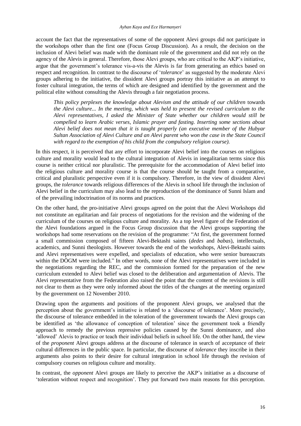account the fact that the representatives of some of the opponent Alevi groups did not participate in the workshops other than the first one (Focus Group Discussion). As a result, the decision on the inclusion of Alevi belief was made with the dominant role of the government and did not rely on the agency of the Alevis in general. Therefore, those Alevi groups, who are critical to the AKP's initiative, argue that the government's tolerance vis-a-vis the Alevis is far from generating an ethics based on respect and recognition. In contrast to the discourse of '*tolerance*' as suggested by the moderate Alevi groups adhering to the initiative, the dissident Alevi groups portray this initiative as an attempt to foster cultural integration, the terms of which are designed and identified by the government and the political elite without consulting the Alevis through a fair negotiation process.

*This policy perplexes the knowledge about Alevism and the attitude of our children towards the Alevi culture... In the meeting, which was held to present the revised curriculum to the Alevi representatives, I asked the Minister of State whether our children would still be compelled to learn Arabic verses, Islamic prayer and fasting. Inserting some sections about Alevi belief does not mean that it is taught properly (an executive member of the Hubyar Sultan Association of Alevi Culture and an Alevi parent who won the case in the State Council with regard to the exemption of his child from the compulsory religion course).* 

In this respect, it is perceived that any effort to incorporate Alevi belief into the courses on religious culture and morality would lead to the cultural integration of Alevis in inegalitarian terms since this course is neither critical nor pluralistic. The prerequisite for the accommodation of Alevi belief into the religious culture and morality course is that the course should be taught from a comparative, critical and pluralistic perspective even if it is compulsory. Therefore, in the view of dissident Alevi groups, the *tolerance* towards religious differences of the Alevis in school life through the inclusion of Alevi belief in the curriculum may also lead to the reproduction of the dominance of Sunni Islam and of the prevailing indoctrination of its norms and practices.

On the other hand, the pro-initiative Alevi groups agreed on the point that the Alevi Workshops did not constitute an egalitarian and fair process of negotiations for the revision and the widening of the curriculum of the courses on religious culture and morality*.* As a top level figure of the Federation of the Alevi foundations argued in the Focus Group discussion that the Alevi groups supporting the workshops had some reservations on the revision of the programme: "At first, the government formed a small commission composed of fifteen Alevi-Bektashi saints (*dedes* and *babas*), intellectuals, academics, and Sunni theologists. However towards the end of the workshops, Alevi-Bektashi saints and Alevi representatives were expelled, and specialists of education, who were senior bureaucrats within the DÖGM were included." In other words, none of the Alevi representatives were included in the negotiations regarding the REC, and the commission formed for the preparation of the new curriculum extended to Alevi belief was closed to the deliberation and argumentation of Alevis. The Alevi representative from the Federation also raised the point that the content of the revisions is still not clear to them as they were only informed about the titles of the changes at the meeting organized by the government on 12 November 2010.

Drawing upon the arguments and positions of the proponent Alevi groups, we analysed that the perception about the government's initiative is related to a 'discourse of tolerance'. More precisely, the discourse of tolerance embedded in the toleration of the government towards the Alevi groups can be identified as 'the allowance of conception of toleration' since the government took a friendly approach to remedy the previous repressive policies caused by the Sunni dominance, and also 'allowed' Alevis to practice or teach their individual beliefs in school life. On the other hand, the view of the *proponent* Alevi groups address at the discourse of tolerance in search of acceptance of their cultural differences in the public space. In particular, the discourse of *tolerance* they inscribe in their arguments also points to their desire for cultural integration in school life through the revision of compulsory courses on religious culture and morality*.*

In contrast, the *opponent* Alevi groups are likely to perceive the AKP's initiative as a discourse of 'toleration without respect and recognition'. They put forward two main reasons for this perception.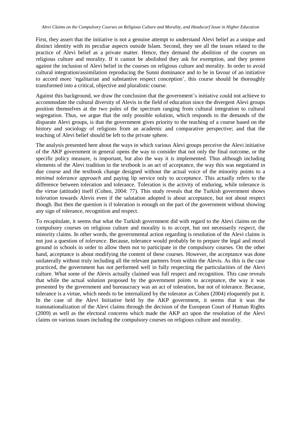First, they assert that the initiative is not a genuine attempt to understand Alevi belief as a unique and distinct identity with its peculiar aspects outside Islam. Second, they see all the issues related to the practice of Alevi belief as a private matter. Hence, they demand the abolition of the courses on religious culture and morality*.* If it cannot be abolished they ask for exemption, and they protest against the inclusion of Alevi belief in the courses on religious culture and morality*.* In order to avoid cultural integration/assimilation reproducing the Sunni dominance and to be in favour of an initiative to accord more 'egalitarian and substantive respect conception', this course should be thoroughly transformed into a critical, objective and pluralistic course.

Against this background, we draw the conclusion that the government's initiative could not achieve to accommodate the cultural diversity of Alevis in the field of education since the divergent Alevi groups position themselves at the two poles of the spectrum ranging from cultural integration to cultural segregation. Thus, we argue that the only possible solution, which responds to the demands of the disparate Alevi groups, is that the government gives priority to the teaching of a course based on the history and sociology of religions from an academic and comparative perspective; and that the teaching of Alevi belief should be left to the private sphere.

The analysis presented here about the ways in which various Alevi groups perceive the Alevi initiative of the AKP government in general opens the way to consider that not only the final outcome, or the specific policy measure, is important, but also the way it is implemented. Thus although including elements of the Alevi tradition in the textbook is an act of acceptance, the way this was negotiated in due course and the textbook change designed without the actual voice of the minority points to a *minimal tolerance approach* and paying lip service only to *acceptance*. This actually refers to the difference between toleration and tolerance. Toleration is the activity of enduring, while tolerance is the virtue (attitude) itself (Cohen, 2004: 77). This study reveals that the Turkish government shows *toleration* towards Alevis even if the salutation adopted is about acceptance, but not about respect though. But then the question is if toleration is enough on the part of the government without showing any sign of tolerance, recognition and respect.

To recapitulate, it seems that what the Turkish government did with regard to the Alevi claims on the compulsory courses on religious culture and morality is to *accept*, but not necessarily *respect*, the minority claims. In other words, the governmental action regarding is resolution of the Alevi claims is not just a question of *tolerance*. Because, tolerance would probably be to prepare the legal and moral ground in schools in order to allow them not to participate in the compulsory courses. On the other hand, acceptance is about modifying the content of these courses. However, the acceptance was done unilaterally without truly including all the relevant partners from within the Alevis. As this is the case practiced, the government has not performed well in fully respecting the particularities of the Alevi culture. What some of the Alevis actually claimed was full respect and recognition. This case reveals that while the actual solution proposed by the government points to acceptance, the way it was presented by the government and bureaucracy was an act of toleration, but not of tolerance. Because, tolerance is a virtue, which needs to be internalized by the tolerator as Cohen (2004) eloquently put it. In the case of the Alevi Initiative held by the AKP government, it seems that it was the transnationalization of the Alevi claims through the decision of the European Court of Human Rights (2009) as well as the electoral concerns which made the AKP act upon the resolution of the Alevi claims on various issues including the compulsory courses on religious culture and morality.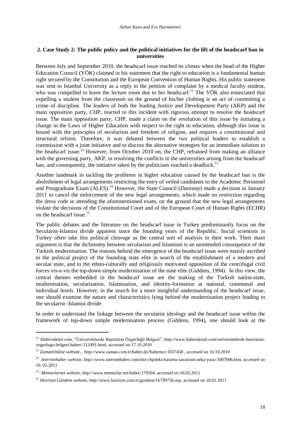#### <span id="page-23-0"></span>**2. Case Study 2: The public policy and the political initiatives for the lift of the headscarf ban in universities**

Between July and September 2010, the headscarf issue reached its climax when the head of the Higher Education Council (YÖK) claimed in his statement that the right to education is a fundamental human right secured by the Constitution and the European Convention of Human Rights. His public statement was sent to Istanbul University as a reply to the petition of complaint by a medical faculty student, who was compelled to leave the lecture room due to her headscarf.<sup>11</sup> The YÖK also enunciated that expelling a student from the classroom on the ground of his/her clothing is an act of committing a crime of discipline. The leaders of both the leading Justice and Development Party (AKP) and the main opposition party, CHP, reacted to this incident with rigorous attempt to resolve the headscarf issue. The main opposition party, CHP, made a claim on the resolution of this issue by initiating a change in the Laws of Higher Education with respect to the right to education, although this issue is bound with the principles of secularism and freedom of religion, and requires a constitutional and structural reform. Therefore, it was debated between the two political leaders to establish a commission with a joint initiative and to discuss the alternative strategies for an immediate solution to the headscarf issue.<sup>12</sup> However, from October 2010 on, the CHP, refrained from making an alliance with the governing party, AKP, in resolving the conflicts in the universities arising from the headscarf ban, and consequently, the initiative taken by the politicians reached a deadlock.<sup>13</sup>

Another landmark in tackling the problems in higher education caused by the headscarf ban is the abolishment of legal arrangements restricting the entry of veiled candidates to the Academic Personnel and Postgraduate Exam (ALES). <sup>14</sup> However, the State Council (*Danistay*) made a decision in January 2011 to cancel the enforcement of the new legal arrangements, which made no restriction regarding the dress code in attending the aforementioned exam, on the ground that the new legal arrangements violate the decisions of the Constitutional Court and of the European Court of Human Rights (ECHR) on the headscarf issue.<sup>15</sup>

The public debates and the literature on the headscarf issue in Turkey predominantly focus on the Secularist-Islamist divide apparent since the founding years of the Republic. Social scientists in Turkey often take this political cleavage as the central unit of analysis in their work. Their main argument is that the dichotomy between secularism and Islamism is an unintended consequence of the Turkish modernisation. The reasons behind the emergence of the headscarf issue were mainly ascribed to the political project of the founding state elite in search of the establishment of a modern and secular state, and to the ethno-culturally and religiously motivated opposition of the centrifugal civil forces vis-a-vis the top-down simple modernization of the state elite (Giddens, 1994). In this view, the central themes embedded in the headscarf issue are the making of the Turkish nation-state, modernisation, secularisation, Islamisation, and identity-formation at national, communal and individual levels. However, in the search for a more insightful understanding of the headscarf issue, one should examine the nature and characteristics lying behind the modernisation project leading to the secularist -Islamist divide.

In order to understand the linkage between the secularist ideology and the headscarf issue within the framework of top-down simple modernisation process (Giddens, 1994), one should look at the

l

<sup>11</sup> *Haberaktüel.com*, "Üniversitelerde Başörtüsü Özgürlüğü Belgesi", [http://www.haberaktuel.com/universitelerde-basortusu](http://www.haberaktuel.com/universitelerde-basortusu-ozgurlugu-belgesi-haberi-312491.html)[ozgurlugu-belgesi-haberi-312491.html,](http://www.haberaktuel.com/universitelerde-basortusu-ozgurlugu-belgesi-haberi-312491.html) accessed on 17.10.2010

<sup>12</sup> *ZamanOnline website*, . <http://www.zaman.com.tr/haber.do?haberno=1037458> , accessed on 16.10.2010

<sup>&</sup>lt;sup>13</sup> Internethaber website, [http://www.internethaber.com/iste-chpdeki-basortu-savasinin-arka-yuzu-300769h.htm,](http://www.internethaber.com/iste-chpdeki-basortu-savasinin-arka-yuzu-300769h.htm) accessed on 10. 02.2011

<sup>&</sup>lt;sup>14</sup> Memurlarnet website[, http://www.memurlar.net/haber/179304,](http://www.memurlar.net/haber/179304) accessed on 10.02.2011

<sup>15</sup> *Hurriyet Gündem website*[, http://www.hurriyet.com.tr/gundem/16799756.asp,](http://www.hurriyet.com.tr/gundem/16799756.asp) accessed on 10.02.2011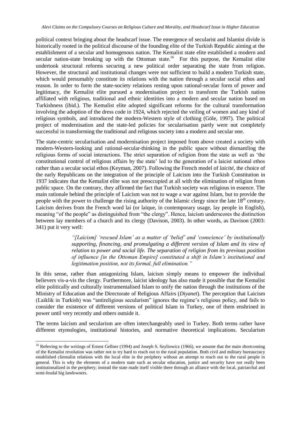political context bringing about the headscarf issue. The emergence of secularist and Islamist divide is historically rooted in the political discourse of the founding elite of the Turkish Republic aiming at the establishment of a secular and homogenous nation. The Kemalist state elite established a modern and secular nation-state breaking up with the Ottoman state.<sup>16</sup> For this purpose, the Kemalist elite undertook structural reforms securing a new political order separating the state from religion. However, the structural and institutional changes were not sufficient to build a modern Turkish state, which would presumably constitute its relations with the nation through a secular social ethos and reason. In order to form the state-society relations resting upon rational-secular form of power and legitimacy, the Kemalist elite pursued a modernisation project to transform the Turkish nation affiliated with religious, traditional and ethnic identities into a modern and secular nation based on Turkishness (ibid.). The Kemalist elite adopted significant reforms for the cultural transformation involving the adoption of the dress code in 1924, which rejected the veiling of women and any kind of religious symbols, and introduced the modern-Western style of clothing (Göle, 1997). The political project of modernisation and the state-led policies for secularisation partly were not completely successful in transforming the traditional and religious society into a modern and secular one.

The state-centric secularisation and modernisation project imposed from above created a society with modern-Western-looking and rational-secular-thinking in the public space without dismantling the religious forms of social interactions. The strict separation of religion from the state as well as 'the constitutional control of religious affairs by the state' led to the generation of a laicist national ethos rather than a secular social ethos (Keyman, 2007). Following the French model of *laicité*, the choice of the early Republicans on the integration of the principle of Laicism into the Turkish Constitution in 1937 indicates that the Kemalist elite was not preoccupied at all with the elimination of religion from public space. On the contrary, they affirmed the fact that Turkish society was religious in essence. The main rationale behind the principle of Laicism was not to wage a war against Islam, but to provide the people with the power to challenge the rising authority of the Islamic clergy since the late  $18<sup>th</sup>$  century. Laicism derives from the French word lai (or laique, in contemporary usage, lay people in English), meaning "of the people" as distinguished from "the clergy". Hence, laicism underscores the distinction between lay members of a church and its clergy (Davison, 2003). In other words, as Davison (2003: 341) put it very well:

> *"[Laicism] 'rescued Islam' as a matter of 'belief' and 'conscience' by institutionally supporting, financing, and promulgating a different version of Islam and its view of relation to power and social life. The separation of religion from its previous position of influence [in the Ottoman Empire] constituted a shift in Islam's institutional and legitimation position, not its formal, full elimination."*

In this sense, rather than antagonizing Islam, laicism simply means to empower the individual believers vis-a-vis the clergy. Furthermore, laicist ideology has also made it possible that the Kemalist elite politically and culturally instrumentalised Islam to unify the nation through the institutions of the Ministry of Education and the Directorate of Religious Affairs (*Diyanet*). The perception that Laicism (Laiklik in Turkish) was "antireligious secularism" ignores the regime's religious policy, and fails to consider the existence of different versions of political Islam in Turkey, one of them enshrined in power until very recently and others outside it.

The terms laicism and secularism are often interchangeably used in Turkey. Both terms rather have different etymologies, institutional histories, and normative theoretical implications. Secularism

 $\overline{\phantom{a}}$ 

<sup>&</sup>lt;sup>16</sup> Referring to the writings of Ernest Gellner (1994) and Joseph S. Szyliowicz (1966), we assume that the main shortcoming of the Kemalist revolution was rather not to try hard to reach out to the rural population. Both civil and military bureaucracy established clientalist relations with the local elite in the periphery without an attempt to reach out to the rural people in general. This is why the elements of a modern state such as secular education, justice and security have not really been institutionalized in the periphery; instead the state made itself visible there through an alliance with the local, patriarchal and semi-feudal big landowners.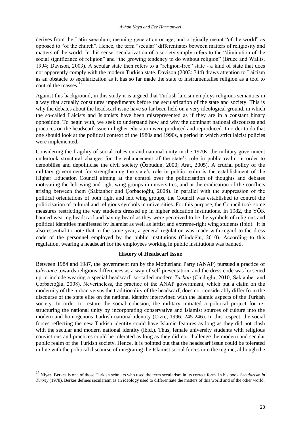derives from the Latin saeculum, meaning generation or age, and originally meant "of the world" as opposed to "of the church". Hence, the term "secular" differentiates between matters of religiosity and matters of the world. In this sense, secularization of a society simply refers to the "diminution of the social significance of religion" and "the growing tendency to do without religion" (Bruce and Wallis, 1994; Davison, 2003). A secular state then refers to a "religion-free" state - a kind of state that does not apparently comply with the modern Turkish state. Davison (2003: 344) draws attention to Laicism as an obstacle to secularization as it has so far made the state to instrumentalise religion as a tool to control the masses.<sup>17</sup>

Against this background, in this study it is argued that Turkish laicism employs religious semantics in a way that actually constitutes impediments before the secularization of the state and society. This is why the debates about the headscarf issue have so far been held on a very ideological ground, in which the so-called Laicists and Islamists have been misrepresented as if they are in a constant binary opposition. To begin with, we seek to understand how and why the dominant national discourses and practices on the headscarf issue in higher education were produced and reproduced. In order to do that one should look at the political context of the 1980s and 1990s, a period in which strict laicist policies were implemented.

Considering the fragility of social cohesion and national unity in the 1970s, the military government undertook structural changes for the enhancement of the state's role in public realm in order to demobilise and depoliticise the civil society (Özbudun, 2000; Arat, 2005). A crucial policy of the military government for strengthening the state's role in public realm is the establishment of the Higher Education Council aiming at the control over the politicisation of thoughts and debates motivating the left wing and right wing groups in universities, and at the eradication of the conflicts arising between them (Saktanber and Çorbacıoğlu, 2008). In parallel with the suppression of the political orientations of both right and left wing groups, the Council was established to control the politicisation of cultural and religious symbols in universities. For this purpose, the Council took some measures restricting the way students dressed up in higher education institutions. In 1982, the YÖK banned wearing headscarf and having beard as they were perceived to be the symbols of religious and political identities manifested by Islamist as well as leftist and extreme-right wing students (ibid). It is also essential to note that in the same year, a general regulation was made with regard to the dress code of the personnel employed by the public institutions (Cindoğlu, 2010). According to this regulation, wearing a headscarf for the employees working in public institutions was banned.

#### **History of Headscarf Issue**

<span id="page-25-0"></span>Between 1984 and 1987, the government run by the Motherland Party (ANAP) pursued a practice of *tolerance* towards religious differences as a way of self-presentation, and the dress code was loosened up to include wearing a special headscarf, so-called modern *Turban* (Cindoğlu, 2010; Saktanber and Çorbacıoğlu, 2008). Nevertheless, the practice of the ANAP government, which put a claim on the modernity of the turban versus the traditionality of the headscarf, does not considerably differ from the discourse of the state elite on the national identity intertwined with the Islamic aspects of the Turkish society. In order to restore the social cohesion, the military initiated a political project for restructuring the national unity by incorporating conservative and Islamist sources of culture into the modern and homogenous Turkish national identity (Cizre, 1996: 245-246). In this respect, the social forces reflecting the new Turkish identity could have Islamic features as long as they did not clash with the secular and modern national identity (ibid.). Thus, female university students with religious convictions and practices could be tolerated as long as they did not challenge the modern and secular public realm of the Turkish society. Hence, it is pointed out that the headscarf issue could be tolerated in line with the political discourse of integrating the Islamist social forces into the regime, although the

l

<sup>17</sup> Niyazi Berkes is one of those Turkish scholars who used the term secularism in its correct form. In his book *Secularism in Turkey* (1978), Berkes defines secularism as an ideology used to differentiate the matters of this world and of the other world.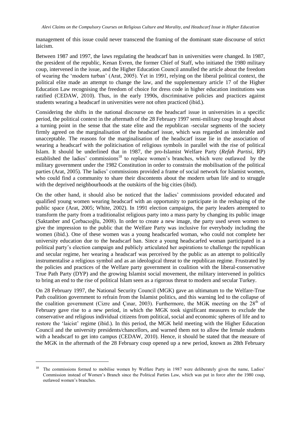management of this issue could never transcend the framing of the dominant state discourse of strict laicism.

Between 1987 and 1997, the laws regulating the headscarf ban in universities were changed. In 1987, the president of the republic, Kenan Evren, the former Chief of Staff, who initiated the 1980 military coup, intervened in the issue, and the Higher Education Council annulled the article about the freedom of wearing the 'modern turban' (Arat, 2005). Yet in 1991, relying on the liberal political context, the political elite made an attempt to change the law, and the supplementary article 17 of the Higher Education Law recognising the freedom of choice for dress code in higher education institutions was ratified (CEDAW, 2010). Thus, in the early 1990s, discriminative policies and practices against students wearing a headscarf in universities were not often practiced (ibid.).

Considering the shifts in the national discourse on the headscarf issue in universities in a specific period, the political context in the aftermath of the 28 February 1997 semi-military coup brought about a turning point in the sense that the state elite and the republican -secular segments of the society firmly agreed on the marginalisation of the headscarf issue, which was regarded as intolerable and unacceptable. The reasons for the marginalisation of the headscarf issue lie in the association of wearing a headscarf with the politicisation of religious symbols in parallel with the rise of political Islam. It should be underlined that in 1987, the pro-Islamist Welfare Party (*Refah Partisi*, RP) established the ladies' commissions<sup>18</sup> to replace women's branches, which were outlawed by the military government under the 1982 Constitution in order to constrain the mobilisation of the political parties (Arat, 2005). The ladies' commissions provided a frame of social network for Islamist women, who could find a community to share their discontents about the modern urban life and to struggle with the deprived neighbourhoods at the outskirts of the big cities (ibid).

On the other hand, it should also be noticed that the ladies' commissions provided educated and qualified young women wearing headscarf with an opportunity to participate in the reshaping of the public space (Arat, 2005; White, 2002). In 1991 election campaigns, the party leaders attempted to transform the party from a traditionalist religious party into a mass party by changing its public image (Saktanber and Çorbacıoğlu, 2008). In order to create a new image, the party used seven women to give the impression to the public that the Welfare Party was inclusive for everybody including the women (ibid.). One of these women was a young headscarfed woman, who could not complete her university education due to the headscarf ban. Since a young headscarfed woman participated in a political party's election campaign and publicly articulated her aspirations to challenge the republican and secular regime, her wearing a headscarf was perceived by the public as an attempt to politically instrumentalise a religious symbol and as an ideological threat to the republican regime. Frustrated by the policies and practices of the Welfare party government in coalition with the liberal-conservative True Path Party (DYP) and the growing Islamist social movement, the military intervened in politics to bring an end to the rise of political Islam seen as a rigorous threat to modern and secular Turkey.

On 28 February 1997, the National Security Council (MGK) gave an ultimatum to the Welfare-True Path coalition government to refrain from the Islamist politics, and this warning led to the collapse of the coalition government (Cizre and Cinar, 2003). Furthermore, the MGK meeting on the  $28<sup>th</sup>$  of February gave rise to a new period, in which the MGK took significant measures to exclude the conservative and religious individual citizens from political, social and economic spheres of life and to restore the 'laicist' regime (ibid.). In this period, the MGK held meeting with the Higher Education Council and the university presidents/chancellors, and warned them not to allow the female students with a headscarf to get into campus (CEDAW, 2010). Hence, it should be stated that the measure of the MGK in the aftermath of the 28 February coup opened up a new period, known as 28th February

 $\overline{\phantom{a}}$ 

<sup>18</sup> The commissions formed to mobilise women by Welfare Party in 1987 were deliberately given the name, Ladies' Commission instead of Women's Branch since the Political Parties Law, which was put in force after the 1980 coup, outlawed women's branches.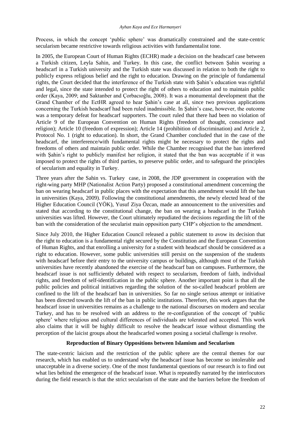Process, in which the concept 'public sphere' was dramatically constrained and the state-centric secularism became restrictive towards religious activities with fundamentalist tone.

In 2005, the European Court of Human Rights (ECHR) made a decision on the headscarf case between a Turkish citizen, Leyla Sahin, and Turkey. In this case, the conflict between Şahin wearing a headscarf in a Turkish university and the Turkish state was discussed in relation to both the right to publicly express religious belief and the right to education. Drawing on the principle of fundamental rights, the Court decided that the interference of the Turkish state with Şahin's education was rightful and legal, since the state intended to protect the right of others to education and to maintain public order (Kaya, 2009; and Saktanber and Çorbacıoğlu, 2008). It was a monumental development that the Grand Chamber of the EctHR agreed to hear Şahin's case at all, since two previous applications concerning the Turkish headscarf had been ruled inadmissible. In Şahin's case, however, the outcome was a temporary defeat for headscarf supporters. The court ruled that there had been no violation of Article 9 of the European Convention on Human Rights (freedom of thought, conscience and religion); Article 10 (freedom of expression); Article 14 (prohibition of discrimination) and Article 2, Protocol No. 1 (right to education). In short, the Grand Chamber concluded that in the case of the headscarf, the interference/with fundamental rights might be necessary to protect the rights and freedoms of others and maintain public order. While the Chamber recognised that the ban interfered with Şahin's right to publicly manifest her religion, it stated that the ban was acceptable if it was imposed to protect the rights of third parties, to preserve public order, and to safeguard the principles of secularism and equality in Turkey.

Three years after the Sahin vs. Turkey case, in 2008, the JDP government in cooperation with the right-wing party MHP (Nationalist Action Party) proposed a constitutional amendment concerning the ban on wearing headscarf in public places with the expectation that this amendment would lift the ban in universities (Kaya, 2009). Following the constitutional amendments, the newly elected head of the Higher Education Council (YÖK), Yusuf Ziya Özcan, made an announcement to the universities and stated that according to the constitutional change, the ban on wearing a headscarf in the Turkish universities was lifted. However, the Court ultimately repudiated the decisions regarding the lift of the ban with the consideration of the secularist main opposition party CHP's objection to the amendment.

Since July 2010, the Higher Education Council released a public statement to avow its decision that the right to education is a fundamental right secured by the Constitution and the European Convention of Human Rights, and that enrolling a university for a student with headscarf should be considered as a right to education. However, some public universities still persist on the suspension of the students with headscarf before their entry to the university campus or buildings, although most of the Turkish universities have recently abandoned the exercise of the headscarf ban on campuses. Furthermore, the headscarf issue is not sufficiently debated with respect to secularism, freedom of faith, individual rights, and freedom of self-identification in the public sphere. Another important point is that all the public policies and political initiatives regarding the solution of the so-called headscarf problem are confined to the lift of the headscarf ban in universities. So far no single serious attempt or initiative has been directed towards the lift of the ban in public institutions. Therefore, this work argues that the headscarf issue in universities remains as a challenge to the national discourses on modern and secular Turkey, and has to be resolved with an address to the re-configuration of the concept of 'public sphere' where religious and cultural differences of individuals are tolerated and accepted. This work also claims that it will be highly difficult to resolve the headscarf issue without dismantling the perception of the laicist groups about the headscarfed women posing a societal challenge is resolve.

## **Reproduction of Binary Oppositions between Islamism and Secularism**

<span id="page-27-0"></span>The state-centric laicism and the restriction of the public sphere are the central themes for our research, which has enabled us to understand why the headscarf issue has become so intolerable and unacceptable in a diverse society. One of the most fundamental questions of our research is to find out what lies behind the emergence of the headscarf issue. What is repeatedly narrated by the interlocutors during the field research is that the strict secularism of the state and the barriers before the freedom of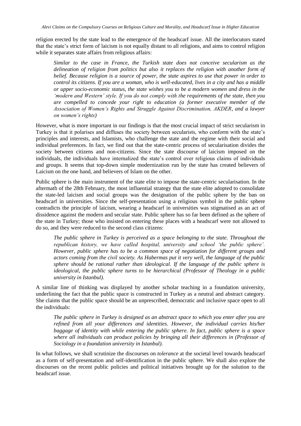religion erected by the state lead to the emergence of the headscarf issue. All the interlocutors stated that the state's strict form of laicism is not equally distant to all religions, and aims to control religion while it separates state affairs from religious affairs:

*Similar to the case in France, the Turkish state does not conceive secularism as the delineation of religion from politics but also it replaces the religion with another form of belief. Because religion is a source of power, the state aspires to use that power in order to control its citizens. If you are a woman, who is well-educated, lives in a city and has a middle or upper socio-economic status, the state wishes you to be a modern women and dress in the 'modern and Western' style. If you do not comply with the requirements of the state, then you are compelled to concede your right to education (a former executive member of the Association of Women's Rights and Struggle Against Discrimination, AKDER, and a lawyer on women's rights)* 

However, what is more important in our findings is that the most crucial impact of strict secularism in Turkey is that it polarises and diffuses the society between secularists, who conform with the state's principles and interests, and Islamists, who challenge the state and the regime with their social and individual preferences. In fact, we find out that the state-centric process of secularisation divides the society between citizens and non-citizens. Since the state discourse of laicism imposed on the individuals, the individuals have internalized the state's control over religious claims of individuals and groups. It seems that top-down simple modernization run by the state has created believers of Laicism on the one hand, and believers of Islam on the other.

Public sphere is the main instrument of the state elite to impose the state-centric secularisation. In the aftermath of the 28th February, the most influential strategy that the state elite adopted to consolidate the state-led laicism and social groups was the designation of the public sphere by the ban on headscarf in universities. Since the self-presentation using a religious symbol in the public sphere contradicts the principle of laicism, wearing a headscarf in universities was stigmatised as an act of dissidence against the modern and secular state. Public sphere has so far been defined as the sphere of the state in Turkey; those who insisted on entering these places with a headscarf were not allowed to do so, and they were reduced to the second class citizens:

*The public sphere in Turkey is perceived as a space belonging to the state. Throughout the republican history, we have called hospital, university and school 'the public sphere'. However, public sphere has to be a common space of negotiation for different groups and actors coming from the civil society. As Habermas put it very well, the language of the public sphere should be rational rather than ideological. If the language of the public sphere is ideological, the public sphere turns to be hierarchical (Professor of Theology in a public university in Istanbul).* 

A similar line of thinking was displayed by another scholar teaching in a foundation university, underlining the fact that the public space is constructed in Turkey as a neutral and abstract category. She claims that the public space should be an unprescribed, democratic and inclusive space open to all the individuals:

*The public sphere in Turkey is designed as an abstract space to which you enter after you are refined from all your differences and identities. However, the individual carries his/her baggage of identity with while entering the public sphere. In fact, public sphere is a space where all individuals can produce policies by bringing all their differences in (Professor of Sociology in a foundation university in Istanbul).*

In what follows, we shall scrutinize the discourses on *tolerance* at the societal level towards headscarf as a form of self-presentation and self-identification in the public sphere. We shall also explore the discourses on the recent public policies and political initiatives brought up for the solution to the headscarf issue.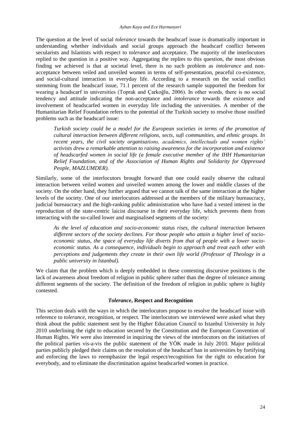The question at the level of social *tolerance* towards the headscarf issue is dramatically important in understanding whether individuals and social groups approach the headscarf conflict between secularists and Islamists with respect to *tolerance* and acceptance. The majority of the interlocutors replied to the question in a positive way. Aggregating the replies to this question, the most obvious finding we achieved is that at societal level, there is no such problem as *intolerance* and nonacceptance between veiled and unveiled women in terms of self-presentation, peaceful co-existence, and social-cultural interaction in everyday life. According to a research on the social conflict stemming from the headscarf issue, 71.1 percent of the research sample supported the freedom for wearing a headscarf in universities (Toprak and Çarkoğlu, 2006). In other words, there is no social tendency and attitude indicating the non-acceptance and *intolerance* towards the existence and involvement of headscarfed women in everyday life including the universities. A member of the Humanitarian Relief Foundation refers to the potential of the Turkish society to resolve those ossified problems such as the headscarf issue:

*Turkish society could be a model for the European societies in terms of the promotion of cultural interaction between different religions, sects, sufi communities, and ethnic groups. In recent years, the civil society organisations, academics, intellectuals and women rights' activists drew a remarkable attention to raising awareness for the incorporation and existence of headscarfed women in social life (a female executive member of the IHH Humanitarian Relief Foundation, and of the Association of Human Rights and Solidarity for Oppressed People, MAZLUMDER).* 

Similarly, some of the interlocutors brought forward that one could easily observe the cultural interaction between veiled women and unveiled women among the lower and middle classes of the society. On the other hand, they further argued that we cannot talk of the same interaction at the higher levels of the society. One of our interlocutors addressed at the members of the military bureaucracy, judicial bureaucracy and the high-ranking public administration who have had a vested interest in the reproduction of the state-centric laicist discourse in their everyday life, which prevents them from interacting with the so-called lower and marginalised segments of the society:

*As the level of education and socio-economic status rises, the cultural interaction between different sectors of the society declines. For those people who attain a higher level of socioeconomic status, the space of everyday life diverts from that of people with a lower socioeconomic status. As a consequence, individuals begin to approach and treat each other with perceptions and judgements they create in their own life world (Professor of Theology in a public university in Istanbul).* 

We claim that the problem which is deeply embedded in these contesting discursive positions is the lack of awareness about freedom of religion in public sphere rather than the degree of tolerance among different segments of the society. The definition of the freedom of religion in public sphere is highly contested.

#### *Tolerance***, Respect and Recognition**

<span id="page-29-0"></span>This section deals with the ways in which the interlocutors propose to resolve the headscarf issue with reference to *tolerance*, recognition, or respect. The interlocutors we interviewed were asked what they think about the public statement sent by the Higher Education Council to Istanbul University in July 2010 underlining the right to education secured by the Constitution and the European Convention of Human Rights. We were also interested in inquiring the views of the interlocutors on the initiatives of the political parties vis-a-vis the public statement of the YÖK made in July 2010. Major political parties publicly pledged their claims on the resolution of the headscarf ban in universities by fortifying and enforcing the laws to reemphasize the legal respect/recognition for the right to education for everybody, and to eliminate the discrimination against headscarfed women in practice.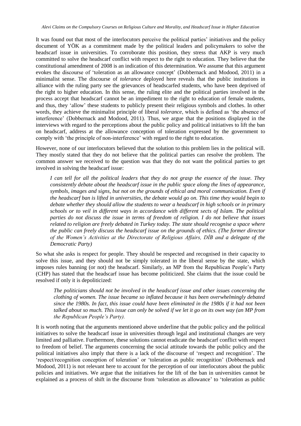It was found out that most of the interlocutors perceive the political parties' initiatives and the policy document of YÖK as a commitment made by the political leaders and policymakers to solve the headscarf issue in universities. To corroborate this position, they stress that AKP is very much committed to solve the headscarf conflict with respect to the right to education. They believe that the constitutional amendment of 2008 is an indication of this determination. We assume that this argument evokes the discourse of 'toleration as an allowance concept' (Dobbernack and Modood, 2011) in a minimalist sense. The discourse of *tolerance* deployed here reveals that the public institutions in alliance with the ruling party see the grievances of headscarfed students, who have been deprived of the right to higher education. In this sense, the ruling elite and the political parties involved in the process accept that headscarf cannot be an impediment to the right to education of female students, and thus, they 'allow' these students to publicly present their religious symbols and clothes. In other words, they achieve the minimalist principle of liberal *tolerance*, which is defined as 'the absence of interference' (Dobbernack and Modood, 2011). Thus, we argue that the positions displayed in the interviews with regard to the perceptions about the public policy and political initiatives to lift the ban on headscarf, address at the allowance conception of toleration expressed by the government to comply with 'the principle of non-interference' with regard to the right to education.

However, none of our interlocutors believed that the solution to this problem lies in the political will. They mostly stated that they do not believe that the political parties can resolve the problem. The common answer we received to the question was that they do not want the political parties to get involved in solving the headscarf issue:

*I can tell for all the political leaders that they do not grasp the essence of the issue. They consistently debate about the headscarf issue in the public space along the lines of appearance, symbols, images and signs, but not on the grounds of ethical and moral communication. Even if the headscarf ban is lifted in universities, the debate would go on. This time they would begin to debate whether they should allow the students to wear a headscarf in high schools or in primary schools or to veil in different ways in accordance with different sects of Islam. The political parties do not discuss the issue in terms of freedom of religion. I do not believe that issues related to religion are freely debated in Turkey today. The state should recognise a space where the public can freely discuss the headscarf issue on the grounds of ethics. (The former director of the Women's Activities at the Directorate of Religious Affairs, DİB and a delegate of the Democratic Party)*

So what she asks is respect for people. They should be respected and recognised in their capacity to solve this issue, and they should not be simply tolerated in the liberal sense by the state, which imposes rules banning (or not) the headscarf. Similarly, an MP from the Republican People's Party (CHP) has stated that the headscarf issue has become politicized. She claims that the issue could be resolved if only it is depoliticized:

*The politicians should not be involved in the headscarf issue and other issues concerning the clothing of women. The issue became so inflated because it has been overwhelmingly debated since the 1980s. In fact, this issue could have been eliminated in the 1980s if it had not been talked about so much. This issue can only be solved if we let it go on its own way (an MP from the Republican People's Party).* 

It is worth noting that the arguments mentioned above underline that the public policy and the political initiatives to solve the headscarf issue in universities through legal and institutional changes are very limited and palliative. Furthermore, these solutions cannot eradicate the headscarf conflict with respect to freedom of belief. The arguments concerning the social attitude towards the public policy and the political initiatives also imply that there is a lack of the discourse of 'respect and recognition'. The 'respect/recognition conception of toleration' or 'toleration as public recognition' (Dobbernack and Modood, 2011) is not relevant here to account for the perception of our interlocutors about the public policies and initiatives. We argue that the initiatives for the lift of the ban in universities cannot be explained as a process of shift in the discourse from 'toleration as allowance' to 'toleration as public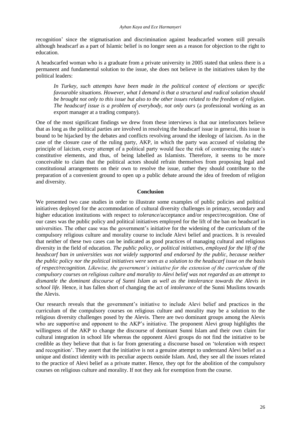recognition' since the stigmatisation and discrimination against headscarfed women still prevails although headscarf as a part of Islamic belief is no longer seen as a reason for objection to the right to education.

A headscarfed woman who is a graduate from a private university in 2005 stated that unless there is a permanent and fundamental solution to the issue, she does not believe in the initiatives taken by the political leaders:

*In Turkey, such attempts have been made in the political context of elections or specific favourable situations. However, what I demand is that a structural and radical solution should be brought not only to this issue but also to the other issues related to the freedom of religion. The headscarf issue is a problem of everybody, not only ours* (a professional working as an export manager at a trading company).

One of the most significant findings we drew from these interviews is that our interlocutors believe that as long as the political parties are involved in resolving the headscarf issue in general, this issue is bound to be hijacked by the debates and conflicts revolving around the ideology of laicism. As in the case of the closure case of the ruling party, AKP, in which the party was accused of violating the principle of laicism, every attempt of a political party would face the risk of contravening the state's constitutive elements, and thus, of being labelled as Islamists. Therefore, it seems to be more conceivable to claim that the political actors should refrain themselves from proposing legal and constitutional arrangements on their own to resolve the issue, rather they should contribute to the preparation of a convenient ground to open up a public debate around the idea of freedom of religion and diversity.

#### **Conclusion**

<span id="page-31-0"></span>We presented two case studies in order to illustrate some examples of public policies and political initiatives deployed for the accommodation of cultural diversity challenges in primary, secondary and higher education institutions with respect to *tolerance*/acceptance and/or respect/recognition. One of our cases was the public policy and political initiatives employed for the lift of the ban on headscarf in universities. The other case was the government's initiative for the widening of the curriculum of the compulsory religious culture and morality course to include Alevi belief and practices. It is revealed that neither of these two cases can be indicated as good practices of managing cultural and religious diversity in the field of education. *The public policy, or political initiatives, employed for the lift of the headscarf ban in universities was not widely supported and endorsed by the public, because neither the public policy nor the political initiatives were seen as a solution to the headscarf issue on the basis of respect/recognition. Likewise, the government's initiative for the extension of the curriculum of the compulsory courses on religious culture and morality to Alevi belief was not regarded as an attempt to dismantle the dominant discourse of Sunni Islam as well as the intolerance towards the Alevis in school life.* Hence, it has fallen short of changing the act of *intolerance* of the Sunni Muslims towards the Alevis.

Our research reveals that the government's initiative to include Alevi belief and practices in the curriculum of the compulsory courses on religious culture and morality may be a solution to the religious diversity challenges posed by the Alevis. There are two dominant groups among the Alevis who are supportive and opponent to the AKP's initiative. The proponent Alevi group highlights the willingness of the AKP to change the discourse of dominant Sunni Islam and their own claim for cultural integration in school life whereas the opponent Alevi groups do not find the initiative to be credible as they believe that that is far from generating a discourse based on 'toleration with respect and recognition'. They assert that the initiative is not a genuine attempt to understand Alevi belief as a unique and distinct identity with its peculiar aspects outside Islam. And, they see all the issues related to the practice of Alevi belief as a private matter. Hence, they opt for the abolition of the compulsory courses on religious culture and morality. If not they ask for exemption from the course.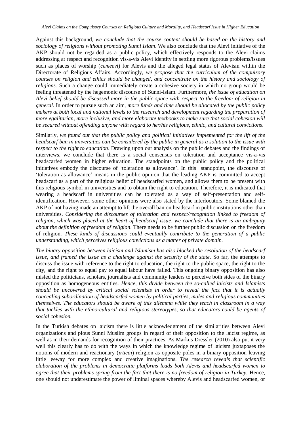Against this background, *we conclude that the course content should be based on the history and sociology of religions without promoting Sunni Islam*. We also conclude that the Alevi initiative of the AKP should not be regarded as a public policy, which effectively responds to the Alevi claims addressing at respect and recognition vis-a-vis Alevi identity in settling more rigorous problems/issues such as places of worship (*cemeevi*) for Alevis and the alleged legal status of Alevism within the Directorate of Religious Affairs. Accordingly, *we propose that the curriculum of the compulsory courses on religion and ethics should be changed, and concentrate on the history and sociology of religions.* Such a change could immediately create a cohesive society in which no group would be feeling threatened by the hegemonic discourse of Sunni-Islam. Furthermore, *the issue of education on Alevi belief should be discussed more in the public space with respect to the freedom of religion in general*. In order to pursue such an aim, *more funds and time should be allocated by the public policy makers at both local and national levels to the research and development regarding the preparation of more egalitarian, more inclusive, and more elaborate textbooks to make sure that social cohesion will be secured without offending anyone with regard to her/his religious, ethnic, and cultural convictions*.

Similarly, *we found out that the public policy and political initiatives implemented for the lift of the headscarf ban in universities can be considered by the public in general as a solution to the issue with respect to the right to education*. Drawing upon our analysis on the public debates and the findings of interviews, we conclude that there is a social consensus on toleration and acceptance vis-a-vis headscarfed women in higher education. The standpoints on the public policy and the political initiatives embody the discourse of 'toleration as allowance'. In this standpoint, the discourse of 'toleration as allowance' means in the public opinion that the leading AKP is committed to accept headscarf as a part of the religious belief of headscarfed women, and allows them to be present with this religious symbol in universities and to obtain the right to education. Therefore, it is indicated that wearing a headscarf in universities can be tolerated as a way of self-presentation and selfidentification. However, some other opinions were also stated by the interlocutors. Some blamed the AKP of not having made an attempt to lift the overall ban on headscarf in public institutions other than universities. *Considering the discourses of toleration and respect/recognition linked to freedom of religion, which was placed at the heart of headscarf issue, we conclude that there is an ambiguity about the definition of freedom of religion*. There needs to be further public discussion on the freedom of religion. *These kinds of discussions could eventually contribute to the generation of a public understanding, which perceives religious convictions as a matter of private domain.*

*The binary opposition between laicism and Islamism has also blocked the resolution of the headscarf issue, and framed the issue as a challenge against the security of the state.* So far, the attempts to discuss the issue with reference to the right to education, the right to the public space, the right to the city, and the right to equal pay to equal labour have failed. This ongoing binary opposition has also misled the politicians, scholars, journalists and community leaders to perceive both sides of the binary opposition as homogeneous entities. *Hence, this divide between the so-called laicists and Islamists should be uncovered by critical social scientists in order to reveal the fact that it is actually concealing subordination of headscarfed women by political parties, males and religious communities themselves*. *The educators should be aware of this dilemma while they teach in classroom in a way that tackles with the ethno-cultural and religious stereotypes, so that educators could be agents of social cohesion.*

In the Turkish debates on laicism there is little acknowledgment of the similarities between Alevi organizations and pious Sunni Muslim groups in regard of their opposition to the laicist regime, as well as in their demands for recognition of their practices. As Markus Dressler (2010) also put it very well this clearly has to do with the ways in which the knowledge regime of laicism juxtaposes the notions of modern and reactionary (*irticai*) religion as opposite poles in a binary opposition leaving little leeway for more complex and creative imaginations. *The research reveals that scientific elaboration of the problems in democratic platforms leads both Alevis and headscarfed women to agree that their problems spring from the fact that there is no freedom of religion in Turkey.* Hence, one should not underestimate the power of liminal spaces whereby Alevis and headscarfed women, or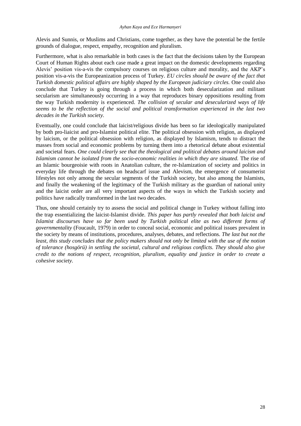Alevis and Sunnis, or Muslims and Christians, come together, as they have the potential be the fertile grounds of dialogue, respect, empathy, recognition and pluralism.

Furthermore, what is also remarkable in both cases is the fact that the decisions taken by the European Court of Human Rights about each case made a great impact on the domestic developments regarding Alevis' position vis-a-vis the compulsory courses on religious culture and morality, and the AKP's position vis-a-vis the Europeanization process of Turkey. *EU circles should be aware of the fact that Turkish domestic political affairs are highly shaped by the European judiciary circles.* One could also conclude that Turkey is going through a process in which both desecularization and militant secularism are simultaneously occurring in a way that reproduces binary oppositions resulting from the way Turkish modernity is experienced. *The collision of secular and desecularized ways of life seems to be the reflection of the social and political transformation experienced in the last two decades in the Turkish society.* 

Eventually, one could conclude that laicist/religious divide has been so far ideologically manipulated by both pro-liaicist and pro-Islamist political elite. The political obsession with religion, as displayed by laicism, or the political obsession with religion, as displayed by Islamism, tends to distract the masses from social and economic problems by turning them into a rhetorical debate about existential and societal fears. *One could clearly see that the theological and political debates around laicism and Islamism cannot be isolated from the socio-economic realities in which they are situated.* The rise of an Islamic bourgeoisie with roots in Anatolian culture, the re-Islamization of society and politics in everyday life through the debates on headscarf issue and Alevism, the emergence of consumerist lifestyles not only among the secular segments of the Turkish society, but also among the Islamists, and finally the weakening of the legitimacy of the Turkish military as the guardian of national unity and the laicist order are all very important aspects of the ways in which the Turkish society and politics have radically transformed in the last two decades.

Thus, one should certainly try to assess the social and political change in Turkey without falling into the trap essentializing the laicist-Islamist divide. *This paper has partly revealed that both laicist and Islamist discourses have so far been used by Turkish political elite as two different forms of governmentality* (Foucault, 1979) in order to conceal social, economic and political issues prevalent in the society by means of institutions, procedures, analyses, debates, and reflections. *The last but not the least, this study concludes that the policy makers should not only be limited with the use of the notion of tolerance (hosgörü) in settling the societal, cultural and religious conflicts. They should also give credit to the notions of respect, recognition, pluralism, equality and justice in order to create a cohesive society.*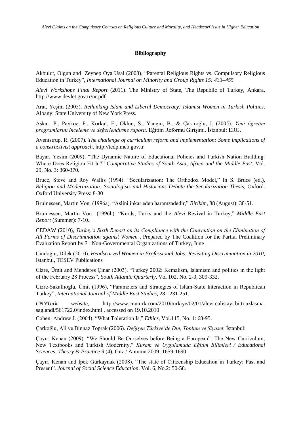#### **Bibliography**

<span id="page-34-0"></span>Akbulut, Olgun and Zeynep Oya Usal (2008), "Parental Religious Rights vs. Compulsory Religious Education in Turkey", *International Journal on Minority and Group Rights 15: 433–455*

*Alevi Workshops Final Report* (2011). The Ministry of State, The Republic of Turkey, Ankara, <http://www.devlet.gov.tr/nr.pdf>

Arat, Yeşim (2005). *Rethinking Islam and Liberal Democracy: Islamist Women in Turkish Politics*. Albany: State University of New York Press.

Aşkar, P., Paykoç, F., Korkut, F., Oklun, S., Yangın, B., & Çakıroğlu, J. (2005). *Yeni öğretim programlarını inceleme ve değerlendirme raporu*. Eğitim Reformu Girişimi. İstanbul: ERG.

Aventstrup, R. (2007). *The challenge of curriculum reform and implementation: Some implications of a constructivist approach*. [http://tedp.meb.gov.tr](http://tedp.meb.gov.tr/)

Bayar, Yesim (2009). "The Dynamic Nature of Educational Policies and Turkish Nation Building: Where Does Religion Fit In?" *Comparative Studies of South Asia, Africa and the Middle East*, Vol. 29, No. 3: 360-370.

Bruce, Steve and Roy Wallis (1994). "Secularization: The Orthodox Model," In S. Bruce (ed.), *Religion and Modernization: Sociologists and Historians Debate the Secularization Thesis,* Oxford: Oxford University Press: 8-30

Bruinessen, Martin Von (1996a). "Aslini inkar eden haramzadedir," *Birikim*, 88 (August): 38-51.

Bruinessen, Martin Von (1996b). "Kurds, Turks and the *Alevi* Revival in Turkey," *Middle East Report* (Summer): 7-10.

CEDAW (2010), *Turkey's Sixth Report on its Compliance with the Convention on the Elimination of All Forms of Discrimination against Women* , Prepared by The Coalition for the Partial Preliminary Evaluation Report by 71 Non-Governmental Organizations of Turkey, June

Cindoğlu, Dilek (2010). *Headscarved Women in Professional Jobs: Revisiting Discrimination in 2010*, Istanbul, TESEV Publications

Cizre, Ümit and Menderes Çınar (2003). "Turkey 2002: Kemalism, Islamism and politics in the light of the February 28 Process", *South Atlantic Quarterly*, Vol 102, No. 2-3, 309-332.

Cizre-Sakallıoglu, Ümit (1996), "Parameters and Strategies of Islam-State Interaction in Republican Turkey", *International Journal of Middle East Studies*, 28: 231-251.

*CNNTurk website,* [http://www.cnnturk.com/2010/turkiye/02/01/alevi.calistayi.bitti.uzlasma.](http://www.cnnturk.com/2010/turkiye/02/01/alevi.calistayi.bitti.uzlasma.%20saglandi/561722.0/index.html)  [saglandi/561722.0/index.html](http://www.cnnturk.com/2010/turkiye/02/01/alevi.calistayi.bitti.uzlasma.%20saglandi/561722.0/index.html) , accessed on 19.10.2010

Cohen, Andrew J. (2004). "What Toleration Is," *Ethics*, Vol.115, No. 1: 68-95.

Çarkoğlu, Ali ve Binnaz Toprak (2006). *Değişen Türkiye'de Din, Toplum ve Siyaset.* İstanbul:

Çayır, Kenan (2009). "We Should Be Ourselves before Being a European": The New Curriculum, New Textbooks and Turkish Modernity," *Kuram ve Uygulamada Eğitim Bilimleri / Educational Sciences: Theory & Practice 9* (4), Güz / Autumn 2009: 1659-1690

Çayır, Kenan and İpek Gürkaynak (2008). "The state of Citizenship Education in Turkey: Past and Present". *Journal of Social Science Education*. Vol. 6, No.2: 50-58.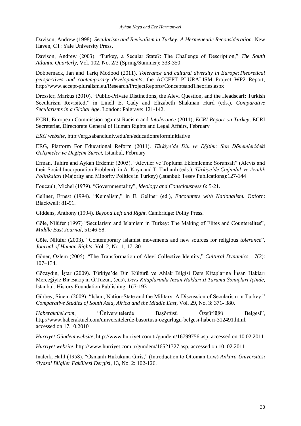Davison, Andrew (1998). *Secularism and Revivalism in Turkey: A Hermeneutic Reconsideration.* New Haven, CT: Yale University Press.

Davison, Andrew (2003). "Turkey, a Secular State?: The Challenge of Description," *The South Atlantic Quarterly,* Vol. 102, No. 2/3 (Spring/Summer): 333-350.

Dobbernack, Jan and Tariq Modood (2011). *Tolerance and cultural diversity in Europe:Theoretical perspectives and contemporary developments*, the ACCEPT PLURALISM Project WP2 Report, <http://www.accept-pluralism.eu/Research/ProjectReports/ConceptsandTheories.aspx>

Dressler, Markus (2010). "Public-Private Distinctions, the Alevi Question, and the Headscarf: Turkish Secularism Revisited," in Linell E. Cady and Elizabeth Shakman Hurd (eds.), *Comparative Secularisms in a Global Age*. London: Palgrave: 121-142.

ECRI, European Commission against Racism and *Intolerance* (2011), *ECRI Report on Turkey*, ECRI Secreteriat, Directorate General of Human Rights and Legal Affairs, February

*ERG website,* http://erg.sabanciuniv.edu/en/educationreforminitiative

ERG, Platform For Educational Reform (2011). *Türkiye'de Din ve Eğitim: Son Dönemlerideki Gelişmeler ve Değişim Süreci,* Istanbul, February

Erman, Tahire and Aykan Erdemir (2005). "Aleviler ve Topluma Eklemlenme Sorunsalı" (Alevis and their Social Incorporation Problem), in A. Kaya and T. Tarhanlı (eds.), *Türkiye'de Çoğunluk ve Azınlık Politikaları* (Majority and Minority Politics in Turkey) (Istanbul: Tesev Publications):127-144

Foucault, Michel (1979). "Governmentality", *Ideology and Consciousness* 6: 5-21.

Gellner, Ernest (1994). "Kemalism," in E. Gellner (ed.), *Encounters with Nationalism.* Oxford: Blackwell: 81-91.

Giddens, Anthony (1994). *Beyond Left and Right*. Cambridge: Polity Press.

Göle, Nilüfer (1997) "Secularism and Islamism in Turkey: The Making of Elites and Counterelites", *Middle East Journal*, 51:46-58.

Göle, Nilüfer (2003). "Contemporary Islamist movements and new sources for religious *tolerance*", *Journal of Human Rights*, Vol. 2, No. 1, 17–30

Göner, Ozlem (2005). "The Transformation of Alevi Collective Identity," *Cultural Dynamics*, 17(2): 107–134.

Gözaydın, İştar (2009). Türkiye'de Din Kültürü ve Ahlak Bilgisi Ders Kitaplarına İnsan Hakları Merceğiyle Bir Bakış in G.Tüzün, (eds), *Ders Kitaplarında İnsan Hakları II Tarama Sonuçları İçinde*, İstanbul: History Foundation Publishing: 167-193

Gürbey, Sinem (2009). "Islam, Nation-State and the Military: A Discussion of Secularism in Turkey," *Comparative Studies of South Asia, Africa and the Middle East*, Vol. 29, No. 3: 371- 380.

*Haberaktüel.com*, "Üniversitelerde Başörtüsü Özgürlüğü Belgesi", [http://www.haberaktuel.com/universitelerde-basortusu-ozgurlugu-belgesi-haberi-312491.html,](http://www.haberaktuel.com/universitelerde-basortusu-ozgurlugu-belgesi-haberi-312491.html) accessed on 17.10.2010

*Hurriyet Gündem website*, [http://www.hurriyet.com.tr/gundem/16799756.asp,](http://www.hurriyet.com.tr/gundem/16799756.asp) accessed on 10.02.2011

*Hurriyet website*, [http://www.hurriyet.com.tr/gundem/16521327.asp,](http://www.hurriyet.com.tr/gundem/16521327.asp) accessed on 10. 02.2011

Inalcık, Halil (1958). "Osmanlı Hukukuna Giris," (Introduction to Ottoman Law) *Ankara Üniversitesi Siyasal Bilgiler Fakültesi Dergisi*, 13, No. 2: 102-126.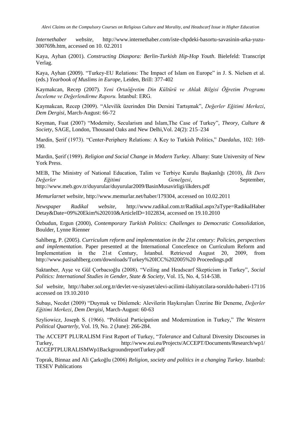*Internethaber website*, [http://www.internethaber.com/iste-chpdeki-basortu-savasinin-arka-yuzu-](http://www.internethaber.com/iste-chpdeki-basortu-savasinin-arka-yuzu-300769h.htm)[300769h.htm,](http://www.internethaber.com/iste-chpdeki-basortu-savasinin-arka-yuzu-300769h.htm) accessed on 10. 02.2011

Kaya, Ayhan (2001). *Constructing Diaspora: Berlin-Turkish Hip-Hop Youth*. Bielefeld: Transcript Verlag.

Kaya, Ayhan (2009). "Turkey-EU Relations: The Impact of Islam on Europe" in J. S. Nielsen et al. (eds.) *Yearbook of Muslims in Europe*, Leiden, Brill: 377-402

Kaymakcan, Recep (2007). *Yeni Ortaöğretim Din Kültürü ve Ahlak Bilgisi Öğretim Programı İnceleme ve Değerlendirme Raporu.* İstanbul: ERG.

Kaymakcan, Recep (2009). "Alevilik üzerinden Din Dersini Tartışmak", *Değerler Eğitimi Merkezi*, *Dem Dergisi*, March-August: 66-72

Keyman, Fuat (2007) "Modernity, Secularism and Islam,The Case of Turkey", *Theory, Culture & Society*, SAGE, London, Thousand Oaks and New Delhi,Vol. 24(2): 215–234

Mardin, Şerif (1973). "Center-Periphery Relations: A Key to Turkish Politics," *Daedalus*, 102: 169- 190.

Mardin, Şerif (1989). *Religion and Social Change in Modern Turkey*. Albany: State University of New York Press.

MEB, The Ministry of National Education, Talim ve Terbiye Kurulu Başkanlığı (2010), *İlk Ders Değerler Eğitimi Genelgesi*, September, <http://www.meb.gov.tr/duyurular/duyurular2009/BasinMusavirligi/ilkders.pdf>

*Memurlarnet website*, [http://www.memurlar.net/haber/179304,](http://www.memurlar.net/haber/179304) accessed on 10.02.2011

*Newspaper Radikal website*, [http://www.radikal.com.tr/Radikal.aspx?aType=RadikalHaber](http://www.radikal.com.tr/Radikal.aspx?aType=RadikalHaber%20Detay&Date=09%20Ekim%202010&ArticleID=1022834)  [Detay&Date=09%20Ekim%202010&ArticleID=1022834,](http://www.radikal.com.tr/Radikal.aspx?aType=RadikalHaber%20Detay&Date=09%20Ekim%202010&ArticleID=1022834) accessed on 19.10.2010

Özbudun, Ergun (2000), *Contemporary Turkish Politics: Challenges to Democratic Consolidation*, Boulder, Lynne Rienner

Sahlberg, P. (2005). *Curriculum reform and implementation in the 21st century: Policies, perspectives and implementation*. Paper presented at the International Concefence on Curriculum Reform and Implementation in the 21st Century, İstanbul. Retrieved August 20, 2009, from [http://www.pasisahlberg.com/downloads/Turkey%20ICC%202005%20 Proceedings.pdf](http://www.pasisahlberg.com/downloads/Turkey%20ICC%202005%20%20Proceedings.pdf)

Saktanber, Ayşe ve Gül Çorbacıoğlu (2008). "Veiling and Headscarf Skepticism in Turkey", *Social Politics: International Studies in Gender, State & Society*, Vol. 15, No. 4, 514-538.

*Sol website*, <http://haber.sol.org.tr/devlet-ve-siyaset/alevi-acilimi-ilahiyatcilara-soruldu-haberi-17116> accessed on 19.10.2010

Subaşı, Necdet (2009) "Duymak ve Dinlemek: Alevilerin Haykırışları Üzerine Bir Deneme, *Değerler Eğitimi Merkezi*, *Dem Dergisi*, March-August: 60-63

Szyliowicz, Joseph S. (1966). "Political Participation and Modernization in Turkey," *The Western Political Quarterly*, Vol. 19, No. 2 (June): 266-284.

The ACCEPT PLURALISM First Report of Turkey, "*Tolerance* and Cultural Diversity Discourses in Turkey, <http://www.eui.eu/Projects/ACCEPT/Documents/Research/wp1/> ACCEPTPLURALISMWp1BackgroundreportTurkey.pdf

Toprak, Binnaz and Ali Çarkoğlu (2006) *Religion, society and politics in a changing Turkey*. Istanbul: TESEV Publications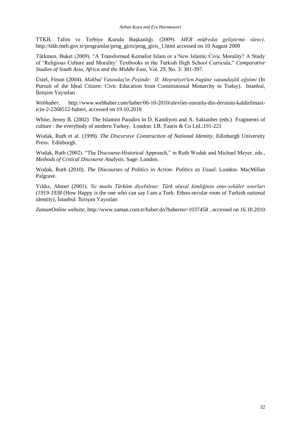TTKB, Talim ve Terbiye Kurulu Başkanlığı. (2009). *MEB müfredat geliştirme süreci*. [http://ttkb.meb.gov.tr/programlar/prog\\_giris/prog\\_giris\\_1.html accessed on 10 August 2009](http://ttkb.meb.gov.tr/programlar/prog_giris/prog_giris_1.html%20accessed%20on%2010%20August%202009)

Türkmen, Buket (2009). "A Transformed Kemalist Islam or a New Islamic Civic Morality? A Study of 'Religious Culture and Morality' Textbooks in the Turkish High School Curricula," *Comparative Studies of South Asia, Africa and the Middle East*, Vol. 29, No. 3: 381-397.

Üstel, Füsun (2004). *Makbul Vatandaş'ın Peşinde: II: Meşrutiyet'ten bugüne vatandaşlık eğitimi* (In Pursuit of the Ideal Citizen: Civic Education from Constitutional Monarchy to Today). Istanbul, İletişim Yayınları.

*Webhaber*, [http://www.webhaber.com/haber/06-10-2010/aleviler-zorunlu-din-dersinin-kaldirilmasi](http://www.webhaber.com/haber/06-10-2010/aleviler-zorunlu-din-dersinin-kaldirilmasi-icin-2-2268512-haberi)[icin-2-2268512-haberi,](http://www.webhaber.com/haber/06-10-2010/aleviler-zorunlu-din-dersinin-kaldirilmasi-icin-2-2268512-haberi) accessed on 19.10.2010

White, Jenny B. (2002) The Islamist Paradox in D. Kandiyoti and A. Saktanber (eds.) Fragments of culture : the everybody of modern Turkey,London: I.B. Tauris & Co Ltd.:191-221

Wodak, Ruth et al. (1999). *The Discursive Construction of National Identity.* Edinburgh University Press: Edinburgh.

Wodak, Ruth (2002). "The Discourse-Historical Approach," in Ruth Wodak and Michael Meyer, eds., *Methods of Critical Discourse Analysis.* Sage: London.

Wodak, Ruth (2010). *The Discourses of Politics in Action: Politics as Usual*. London: MacMillan Palgrave.

Yıldız, Ahmet (2001). *Ne mutlu Türküm diyebilene: Türk ulusal kimliğinin etno-seküler sınırları (1919-1938* (How Happy is the one who can say I am a Turk: Ethno-secular roots of Turkish national identity)*,* İstanbul: İletişim Yayınları

*ZamanOnline website*, <http://www.zaman.com.tr/haber.do?haberno=1037458> , accessed on 16.10.2010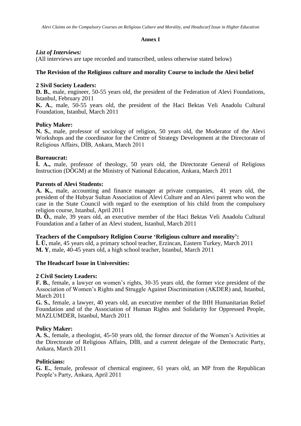#### **Annex I**

#### <span id="page-38-0"></span>*List of Interviews:*

(All interviews are tape recorded and transcribed, unless otherwise stated below)

### **The Revision of the Religious culture and morality Course to include the Alevi belief**

#### **2 Sivil Society Leaders:**

**D. B.**, male, engineer, 50-55 years old, the president of the Federation of Alevi Foundations, Istanbul, February 2011

**K. A.**, male, 50-55 years old, the president of the Haci Bektas Veli Anadolu Cultural Foundation, Istanbul, March 2011

#### **Policy Maker:**

**N. S.**, male, professor of sociology of religion, 50 years old, the Moderator of the Alevi Workshops and the coordinator for the Centre of Strategy Development at the Directorate of Religious Affairs, DİB, Ankara, March 2011

#### **Bureaucrat:**

**İ. A.,** male, professor of theology, 50 years old, the Directorate General of Religious Instruction (DÖGM) at the Ministry of National Education, Ankara, March 2011

#### **Parents of Alevi Students:**

**A. K.**, male, accounting and finance manager at private companies, 41 years old, the president of the Hubyar Sultan Association of Alevi Culture and an Alevi parent who won the case in the State Council with regard to the exemption of his child from the compulsory religion course, Istanbul, April 2011

**D. Ö.**, male, 39 years old, an executive member of the Haci Bektas Veli Anadolu Cultural Foundation and a father of an Alevi student, Istanbul, March 2011

#### **Teachers of the Compulsory Religion Course 'Religious culture and morality':**

**İ. Ü,** male, 45 years old, a primary school teacher, Erzincan, Eastern Turkey, March 2011 **M. Y**, male, 40-45 years old, a high school teacher, Istanbul, March 2011

#### **The Headscarf Issue in Universities:**

#### **2 Civil Society Leaders:**

**F. B.**, female, a lawyer on women's rights, 30-35 years old, the former vice president of the Association of Women's Rights and Struggle Against Discrimination (AKDER) and, Istanbul, March 2011

**G. S.**, female, a lawyer, 40 years old, an executive member of the IHH Humanitarian Relief Foundation and of the Association of Human Rights and Solidarity for Oppressed People, MAZLUMDER, Istanbul, March 2011

#### **Policy Maker:**

**A. S.**, female, a theologist, 45-50 years old, the former director of the Women's Activities at the Directorate of Religious Affairs, DİB, and a current delegate of the Democratic Party, Ankara, March 2011

#### **Politicians:**

**G. E.**, female, professor of chemical engineer, 61 years old, an MP from the Republican People's Party, Ankara, April 2011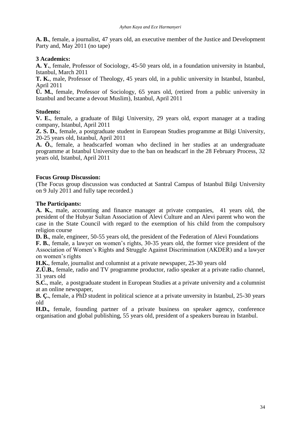**A. B.**, female, a journalist, 47 years old, an executive member of the Justice and Development Party and, May 2011 (no tape)

# **3 Academics:**

**A. Y.**, female, Professor of Sociology, 45-50 years old, in a foundation university in Istanbul, Istanbul, March 2011

**T. K.**, male, Professor of Theology, 45 years old, in a public university in Istanbul, Istanbul, April 2011

**Ü. M.**, female, Professor of Sociology, 65 years old, (retired from a public university in Istanbul and became a devout Muslim), Istanbul, April 2011

# **Students:**

**V. E.**, female, a graduate of Bilgi University, 29 years old, export manager at a trading company, Istanbul, April 2011

**Z. S. D.**, female, a postgraduate student in European Studies programme at Bilgi University, 20-25 years old, Istanbul, April 2011

**A. Ö.**, female, a headscarfed woman who declined in her studies at an undergraduate programme at Istanbul University due to the ban on headscarf in the 28 February Process, 32 years old, Istanbul, April 2011

# **Focus Group Discussion:**

(The Focus group discussion was conducted at Santral Campus of Istanbul Bilgi University on 9 July 2011 and fully tape recorded.)

# **The Participants:**

**A. K.**, male, accounting and finance manager at private companies, 41 years old, the president of the Hubyar Sultan Association of Alevi Culture and an Alevi parent who won the case in the State Council with regard to the exemption of his child from the compulsory religion course

**D. B.**, male, engineer, 50-55 years old, the president of the Federation of Alevi Foundations

**F. B.**, female, a lawyer on women's rights, 30-35 years old, the former vice president of the Association of Women's Rights and Struggle Against Discrimination (AKDER) and a lawyer on women's rights

**H.K.**, female, journalist and columnist at a private newspaper, 25-30 years old

**Z.Ü.B.**, female, radio and TV programme productor, radio speaker at a private radio channel, 31 years old

**S.C.**, male, a postgraduate student in European Studies at a private university and a columnist at an online newspaper,

**B. Ç.**, female, a PhD student in political science at a private unversity in Istanbul, 25-30 years old

**H.D.,** female, founding partner of a private business on speaker agency, conference organisation and global publishing, 55 years old, president of a speakers bureau in Istanbul.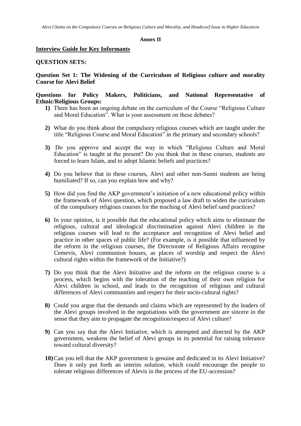#### **Annex II**

# <span id="page-40-0"></span>**Interview Guide for Key Informants**

### **QUESTION SETS:**

**Question Set 1: The Widening of the Curriculum of Religious culture and morality Course for Alevi Belief** 

#### **Questions for Policy Makers, Politicians, and National Representative of Ethnic/Religious Groups:**

- **1)** There has been an ongoing debate on the curriculum of the Course "Religious Culture and Moral Education". What is your assessment on these debates?
- **2)** What do you think about the compulsory religious courses which are taught under the title "Religious Course and Moral Education" in the primary and secondary schools?
- **3)** Do you approve and accept the way in which "Religious Culture and Moral Education" is taught at the present? Do you think that in these courses, students are forced to learn Islam, and to adopt Islamic beliefs and practices?
- **4)** Do you believe that in these courses, Alevi and other non-Sunni students are being humiliated? If so, can you explain how and why?
- **5)** How did you find the AKP government's initiation of a new educational policy within the framework of Alevi question, which proposed a law draft to widen the curriculum of the compulsory religious courses for the teaching of Alevi belief sand practices?
- **6)** In your opinion, is it possible that the educational policy which aims to eliminate the religious, cultural and ideological discrimination against Alevi children in the religious courses will lead to the acceptance and recognition of Alevi belief and practice in other spaces of public life? (For example, is it possible that influenced by the reform in the religious courses, the Directorate of Religious Affairs recognise Cemevis, Alevi communion houses, as places of worship and respect the Alevi cultural rights within the framework of the Initiative?)
- **7)** Do you think that the Alevi Initiative and the reform on the religious course is a process, which begins with the toleration of the teaching of their own religion for Alevi children in school, and leads to the recognition of religious and cultural differences of Alevi communities and respect for their socio-cultural rights?
- **8)** Could you argue that the demands and claims which are represented by the leaders of the Alevi groups involved in the negotiations with the government are sincere in the sense that they aim to propagate the recognition/respect of Alevi culture?
- **9)** Can you say that the Alevi Initiative, which is attempted and directed by the AKP government, weakens the belief of Alevi groups in its potential for raising tolerance toward cultural diversity?
- **10)**Can you tell that the AKP government is genuine and dedicated in its Alevi Initiative? Does it only put forth an interim solution, which could encourage the people to tolerate religious differences of Alevis in the process of the EU-accession?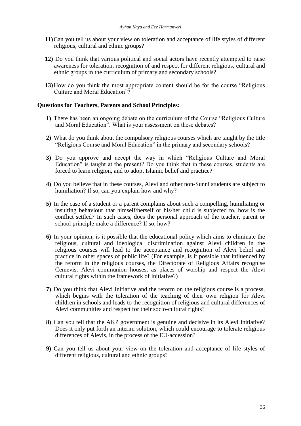- **11)**Can you tell us about your view on toleration and acceptance of life styles of different religious, cultural and ethnic groups?
- **12)** Do you think that various political and social actors have recently attempted to raise awareness for toleration, recognition of and respect for different religious, cultural and ethnic groups in the curriculum of primary and secondary schools?
- **13)**How do you think the most appropriate content should be for the course "Religious Culture and Moral Education"?

### **Questions for Teachers, Parents and School Principles:**

- **1)** There has been an ongoing debate on the curriculum of the Course "Religious Culture and Moral Education". What is your assessment on these debates?
- **2)** What do you think about the compulsory religious courses which are taught by the title "Religious Course and Moral Education" in the primary and secondary schools?
- **3)** Do you approve and accept the way in which "Religious Culture and Moral Education<sup>"</sup> is taught at the present? Do you think that in these courses, students are forced to learn religion, and to adopt Islamic belief and practice?
- **4)** Do you believe that in these courses, Alevi and other non-Sunni students are subject to humiliation? If so, can you explain how and why?
- **5)** In the case of a student or a parent complains about such a compelling, humiliating or insulting behaviour that himself/herself or his/her child is subjected to, how is the conflict settled? In such cases, does the personal approach of the teacher, parent or school principle make a difference? If so, how?
- **6)** In your opinion, is it possible that the educational policy which aims to eliminate the religious, cultural and ideological discrimination against Alevi children in the religious courses will lead to the acceptance and recognition of Alevi belief and practice in other spaces of public life? (For example, is it possible that influenced by the reform in the religious courses, the Directorate of Religious Affairs recognise Cemevis, Alevi communion houses, as places of worship and respect the Alevi cultural rights within the framework of Initiative?)
- **7)** Do you think that Alevi Initiative and the reform on the religious course is a process, which begins with the toleration of the teaching of their own religion for Alevi children in schools and leads to the recognition of religious and cultural differences of Alevi communities and respect for their socio-cultural rights?
- **8)** Can you tell that the AKP government is genuine and decisive in its Alevi Initiative? Does it only put forth an interim solution, which could encourage to tolerate religious differences of Alevis, in the process of the EU-accession?
- **9)** Can you tell us about your view on the toleration and acceptance of life styles of different religious, cultural and ethnic groups?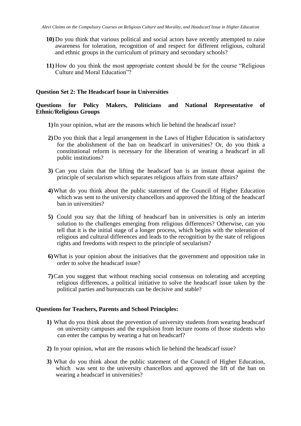- **10)** Do you think that various political and social actors have recently attempted to raise awareness for toleration, recognition of and respect for different religious, cultural and ethnic groups in the curriculum of primary and secondary schools?
- **11)** How do you think the most appropriate content should be for the course "Religious Culture and Moral Education"?

# **Question Set 2: The Headscarf Issue in Universities**

# **Questions for Policy Makers, Politicians and National Representative of Ethnic/Religious Groups**

- **1)**In your opinion, what are the reasons which lie behind the headscarf issue?
- **2)**Do you think that a legal arrangement in the Laws of Higher Education is satisfactory for the abolishment of the ban on headscarf in universities? Or, do you think a constitutional reform is necessary for the liberation of wearing a headscarf in all public institutions?
- **3)** Can you claim that the lifting the headscarf ban is an instant threat against the principle of secularism which separates religious affairs from state affairs?
- **4)**What do you think about the public statement of the Council of Higher Education which was sent to the university chancellors and approved the lifting of the headscarf ban in universities?
- **5)** Could you say that the lifting of headscarf ban in universities is only an interim solution to the challenges emerging from religious differences? Otherwise, can you tell that it is the initial stage of a longer process, which begins with the toleration of religious and cultural differences and leads to the recognition by the state of religious rights and freedoms with respect to the principle of secularism?
- **6)**What is your opinion about the initiatives that the government and opposition take in order to solve the headscarf issue?
- **7)**Can you suggest that without reaching social consensus on tolerating and accepting religious differences, a political initiative to solve the headscarf issue taken by the political parties and bureaucrats can be decisive and stable?

## **Questions for Teachers, Parents and School Principles:**

- **1)** What do you think about the prevention of university students from wearing headscarf on university campuses and the expulsion from lecture rooms of those students who can enter the campus by wearing a hat on headscarf?
- **2)** In your opinion, what are the reasons which lie behind the headscarf issue?
- **3)** What do you think about the public statement of the Council of Higher Education, which was sent to the university chancellors and approved the lift of the ban on wearing a headscarf in universities?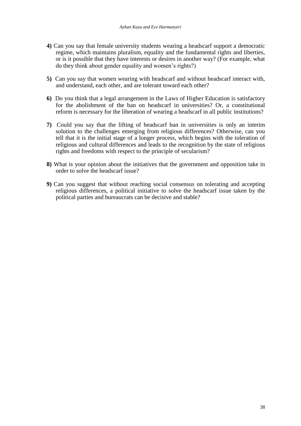- **4)** Can you say that female university students wearing a headscarf support a democratic regime, which maintains pluralism, equality and the fundamental rights and liberties, or is it possible that they have interests or desires in another way? (For example, what do they think about gender equality and women's rights?)
- **5)** Can you say that women wearing with headscarf and without headscarf interact with, and understand, each other, and are tolerant toward each other?
- **6)** Do you think that a legal arrangement in the Laws of Higher Education is satisfactory for the abolishment of the ban on headscarf in universities? Or, a constitutional reform is necessary for the liberation of wearing a headscarf in all public institutions?
- **7)** Could you say that the lifting of headscarf ban in universities is only an interim solution to the challenges emerging from religious differences? Otherwise, can you tell that it is the initial stage of a longer process, which begins with the toleration of religious and cultural differences and leads to the recognition by the state of religious rights and freedoms with respect to the principle of secularism?
- **8)** What is your opinion about the initiatives that the government and opposition take in order to solve the headscarf issue?
- **9)** Can you suggest that without reaching social consensus on tolerating and accepting religious differences, a political initiative to solve the headscarf issue taken by the political parties and bureaucrats can be decisive and stable?